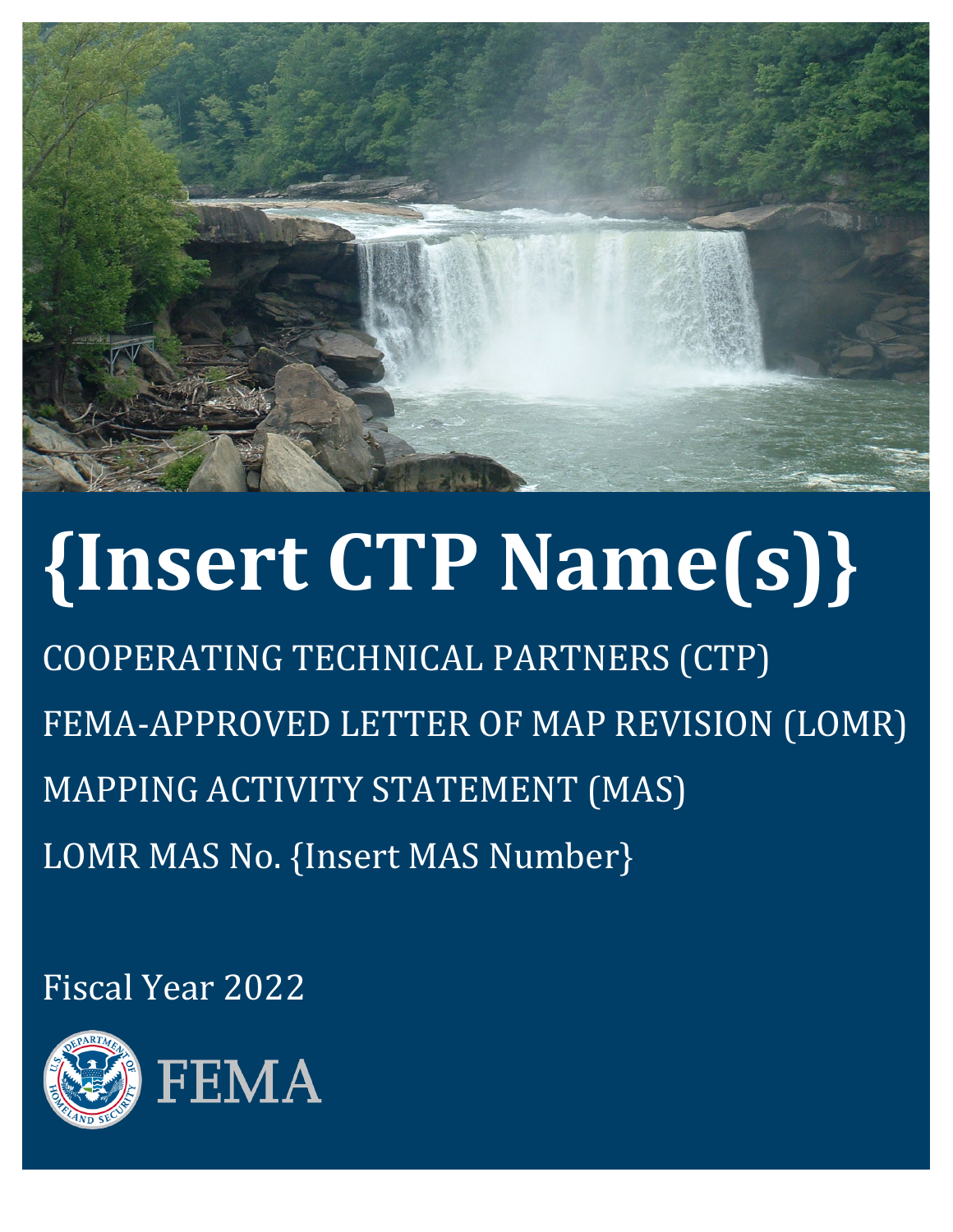

# **{Insert CTP Name(s)}**

COOPERATING TECHNICAL PARTNERS (CTP) FEMA-APPROVED LETTER OF MAP REVISION (LOMR) MAPPING ACTIVITY STATEMENT (MAS) LOMR MAS No. {Insert MAS Number}

Fiscal Year 2022

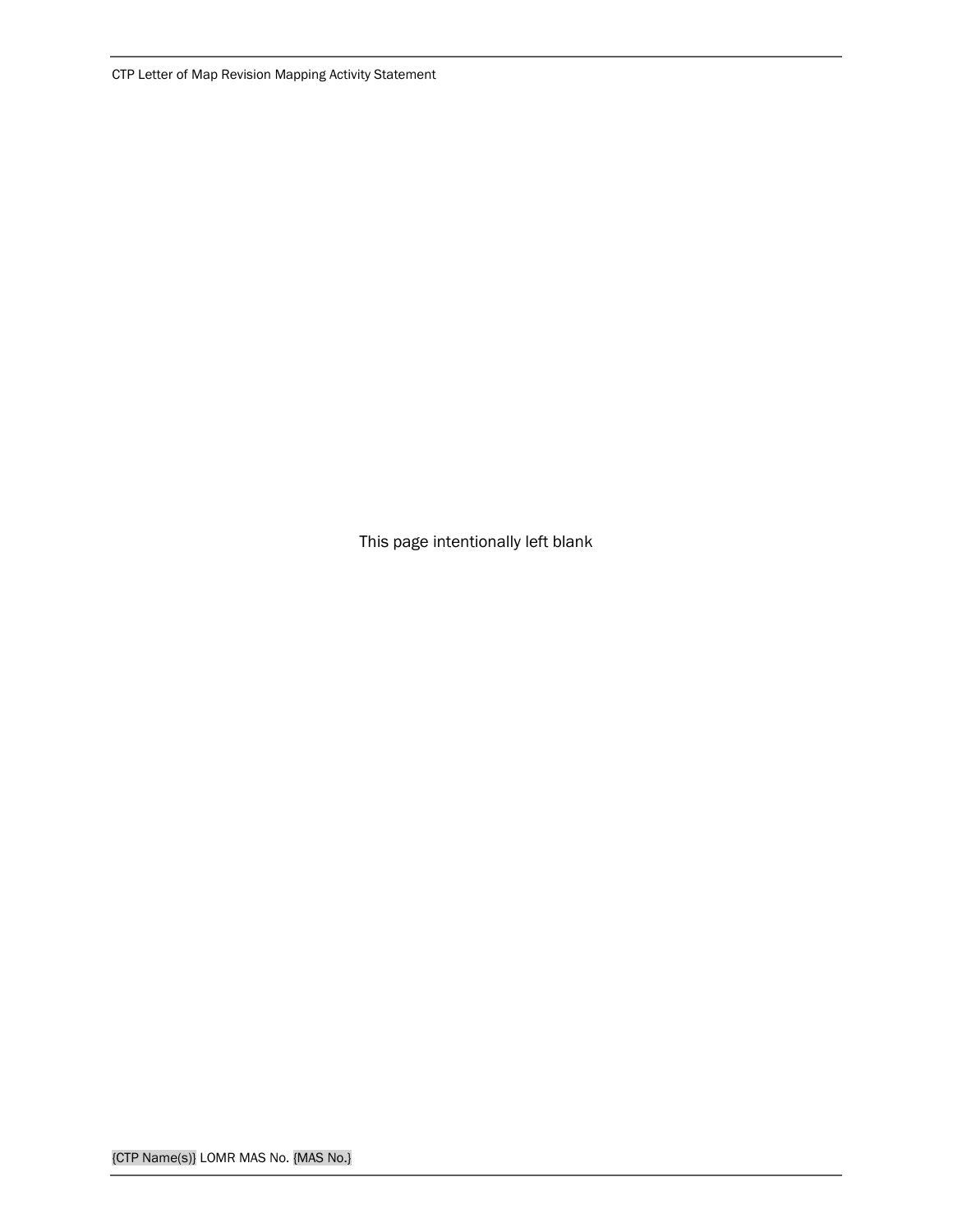This page intentionally left blank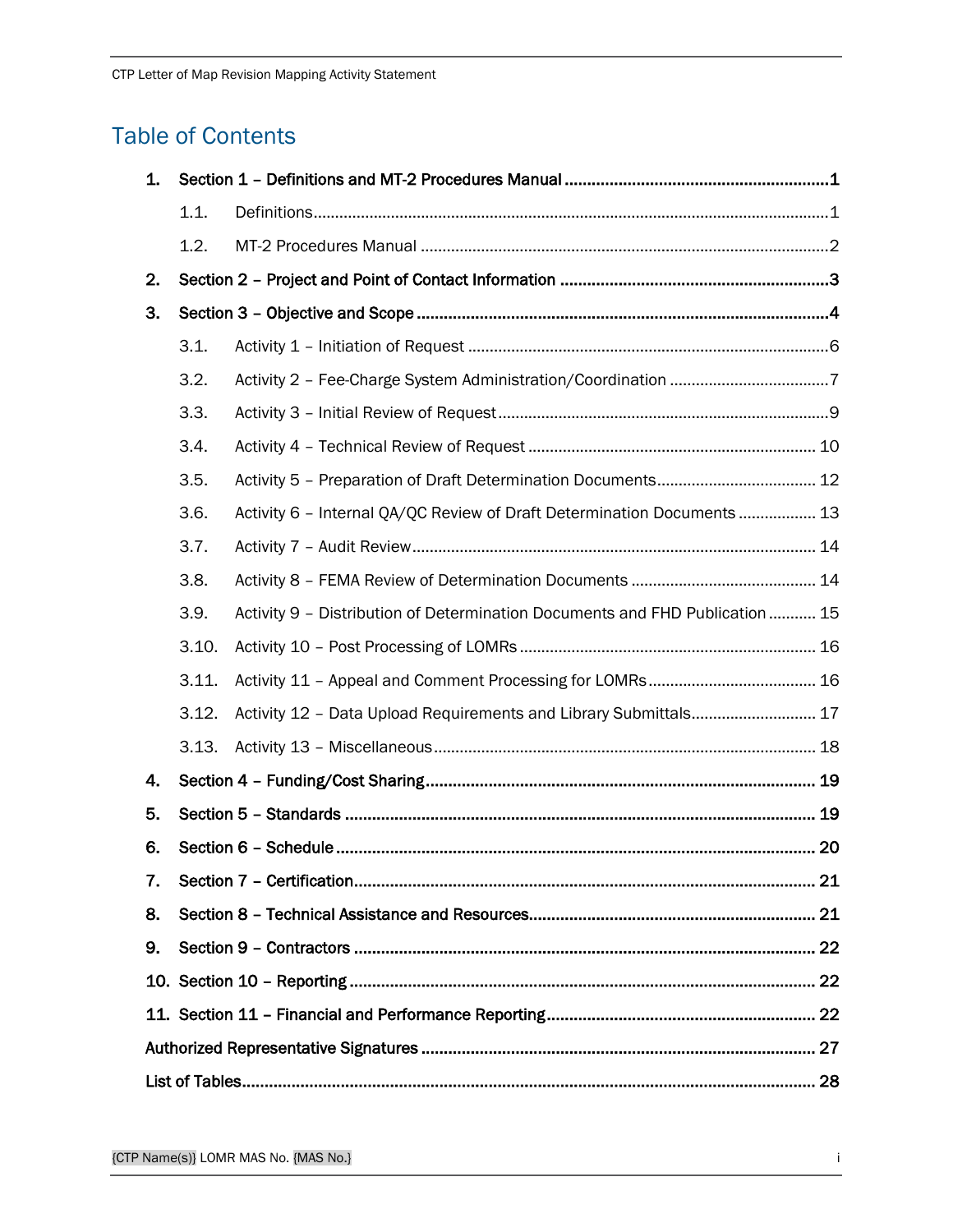## Table of Contents

| 1. |       |                                                                              |  |
|----|-------|------------------------------------------------------------------------------|--|
|    | 1.1.  |                                                                              |  |
|    | 1.2.  |                                                                              |  |
| 2. |       |                                                                              |  |
| 3. |       |                                                                              |  |
|    | 3.1.  |                                                                              |  |
|    | 3.2.  |                                                                              |  |
|    | 3.3.  |                                                                              |  |
|    | 3.4.  |                                                                              |  |
|    | 3.5.  |                                                                              |  |
|    | 3.6.  | Activity 6 - Internal QA/QC Review of Draft Determination Documents  13      |  |
|    | 3.7.  |                                                                              |  |
|    | 3.8.  |                                                                              |  |
|    | 3.9.  | Activity 9 - Distribution of Determination Documents and FHD Publication  15 |  |
|    | 3.10. |                                                                              |  |
|    | 3.11. |                                                                              |  |
|    | 3.12. | Activity 12 - Data Upload Requirements and Library Submittals 17             |  |
|    | 3.13. |                                                                              |  |
| 4. |       |                                                                              |  |
| 5. |       |                                                                              |  |
| 6. |       |                                                                              |  |
| 7. |       |                                                                              |  |
| 8. |       |                                                                              |  |
| 9. |       |                                                                              |  |
|    |       |                                                                              |  |
|    |       |                                                                              |  |
|    |       |                                                                              |  |
|    |       |                                                                              |  |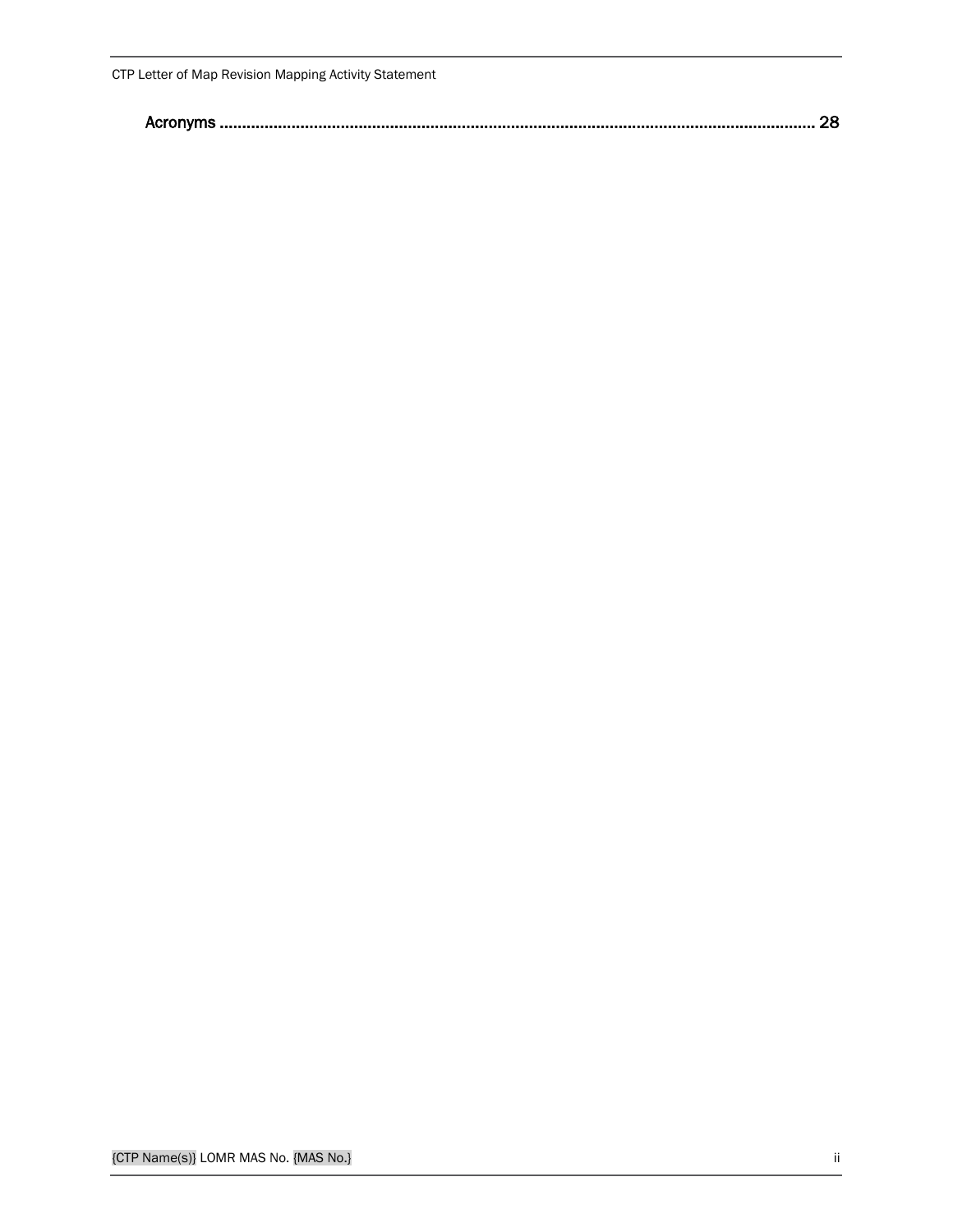|--|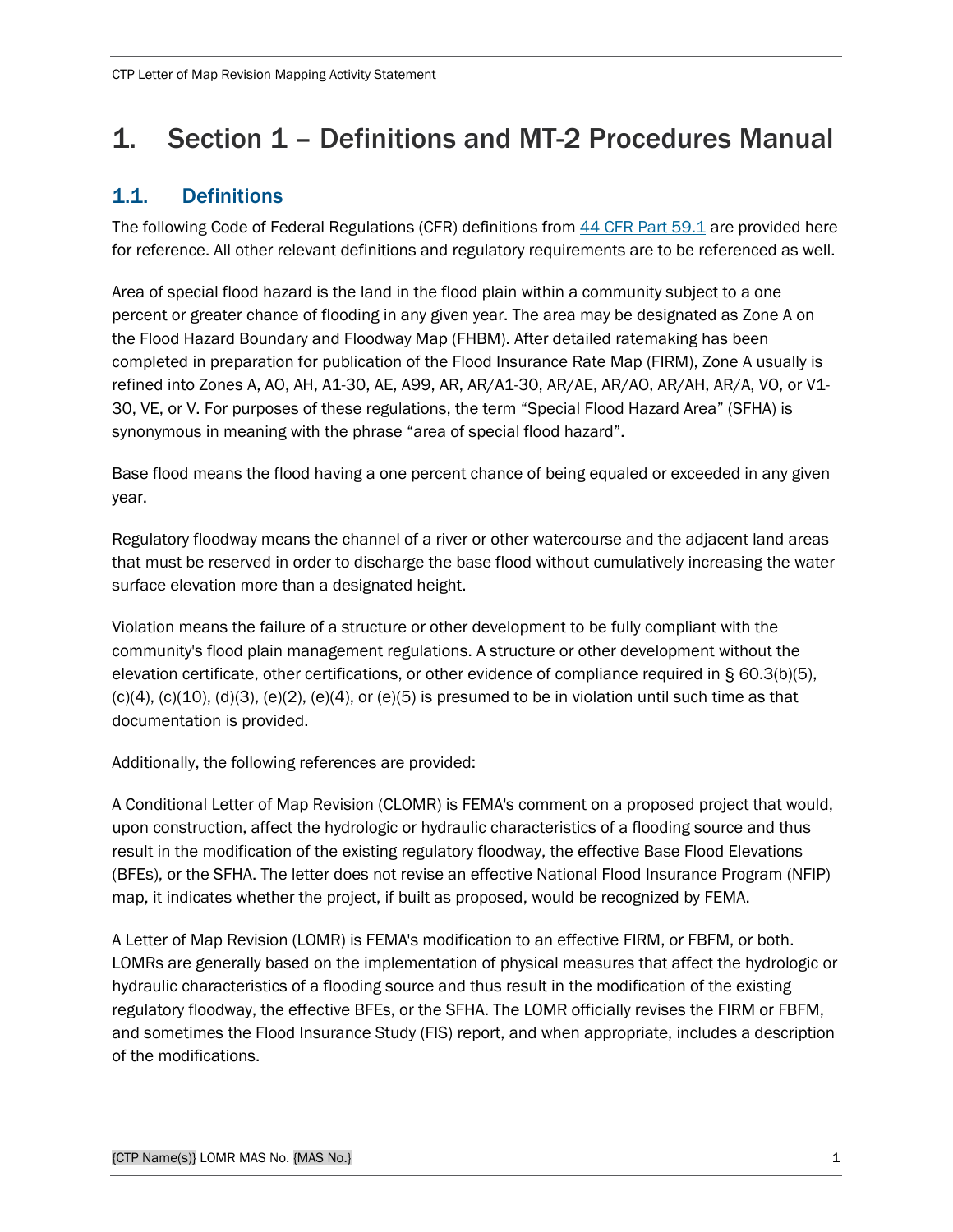# <span id="page-4-0"></span>1. Section 1 – Definitions and MT-2 Procedures Manual

## <span id="page-4-1"></span>1.1. Definitions

The following Code of Federal Regulations (CFR) definitions fro[m 44 CFR Part 59.1](https://www.ecfr.gov/cgi-bin/text-idx?SID=0fb8cc27b03bf52c3ea88882d2b275c0&mc=true&node=se44.1.59_11&rgn=div8) are provided here for reference. All other relevant definitions and regulatory requirements are to be referenced as well.

Area of special flood hazard is the land in the flood plain within a community subject to a one percent or greater chance of flooding in any given year. The area may be designated as Zone A on the Flood Hazard Boundary and Floodway Map (FHBM). After detailed ratemaking has been completed in preparation for publication of the Flood Insurance Rate Map (FIRM), Zone A usually is refined into Zones A, AO, AH, A1-30, AE, A99, AR, AR/A1-30, AR/AE, AR/AO, AR/AH, AR/A, VO, or V1- 30, VE, or V. For purposes of these regulations, the term "Special Flood Hazard Area" (SFHA) is synonymous in meaning with the phrase "area of special flood hazard".

Base flood means the flood having a one percent chance of being equaled or exceeded in any given year.

Regulatory floodway means the channel of a river or other watercourse and the adjacent land areas that must be reserved in order to discharge the base flood without cumulatively increasing the water surface elevation more than a designated height.

Violation means the failure of a structure or other development to be fully compliant with the community's flood plain management regulations. A structure or other development without the elevation certificate, other certifications, or other evidence of compliance required in § 60.3(b)(5),  $(c)(4)$ ,  $(c)(10)$ ,  $(d)(3)$ ,  $(e)(2)$ ,  $(e)(4)$ , or  $(e)(5)$  is presumed to be in violation until such time as that documentation is provided.

Additionally, the following references are provided:

A Conditional Letter of Map Revision (CLOMR) is FEMA's comment on a proposed project that would, upon construction, affect the hydrologic or hydraulic characteristics of a flooding source and thus result in the modification of the existing regulatory floodway, the effective Base Flood Elevations (BFEs), or the SFHA. The letter does not revise an effective National Flood Insurance Program (NFIP) map, it indicates whether the project, if built as proposed, would be recognized by FEMA.

A Letter of Map Revision (LOMR) is FEMA's modification to an effective FIRM, or FBFM, or both. LOMRs are generally based on the implementation of physical measures that affect the hydrologic or hydraulic characteristics of a flooding source and thus result in the modification of the existing regulatory floodway, the effective BFEs, or the SFHA. The LOMR officially revises the FIRM or FBFM, and sometimes the Flood Insurance Study (FIS) report, and when appropriate, includes a description of the modifications.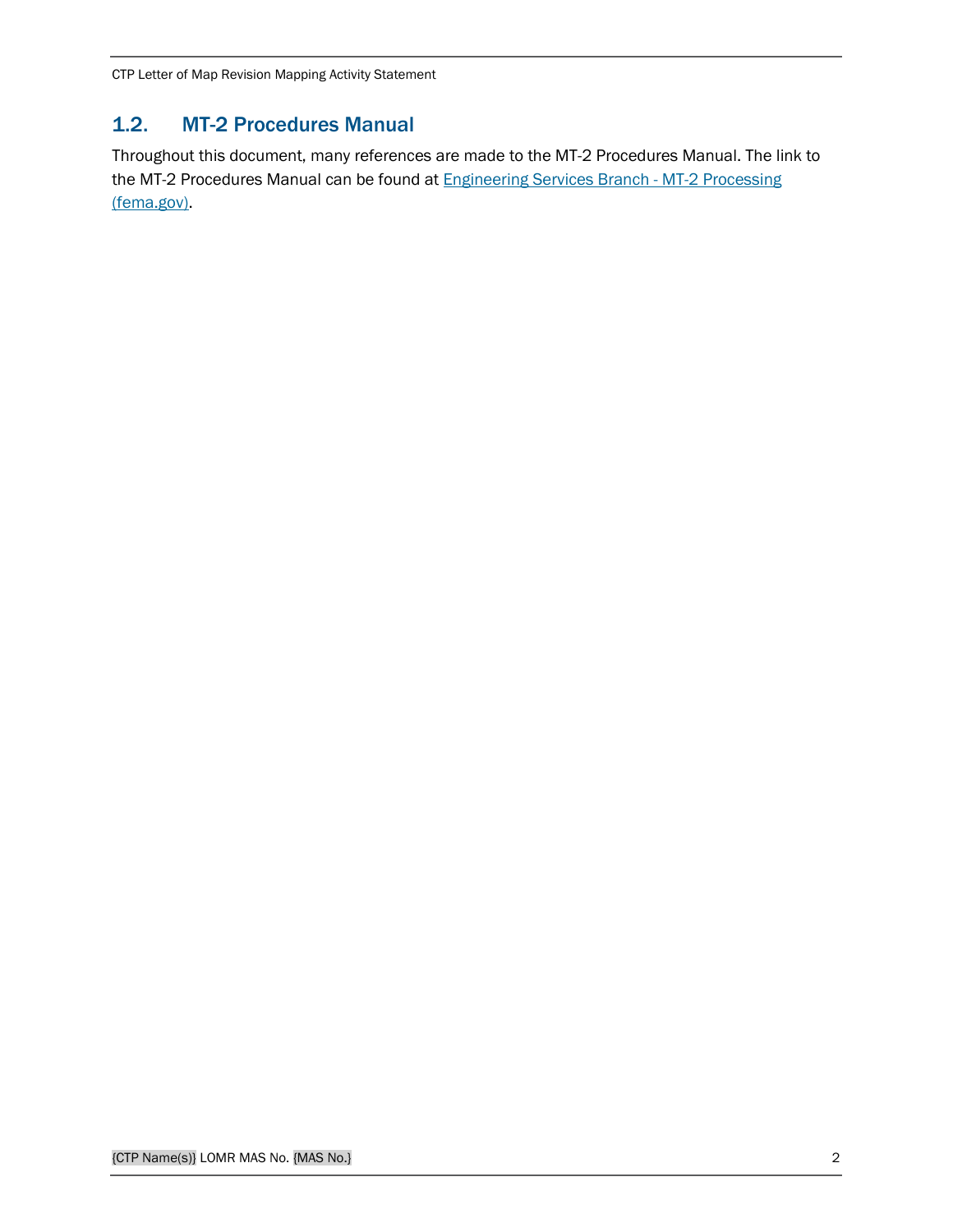## <span id="page-5-0"></span>1.2. MT-2 Procedures Manual

Throughout this document, many references are made to the MT-2 Procedures Manual. The link to the MT-2 Procedures Manual can be found at **Engineering Services Branch - MT-2 Processing** [\(fema.gov\).](https://rmd.msc.fema.gov/EngineeringModeling/EngineeringServices/SitePages/MT-2%20Processing.aspx?RootFolder=%2FEngineeringModeling%2FEngineeringServices%2FMT2%20CLOMRLOMR%20Processing%2FMT%2D2%20Procedures%20Manual&FolderCTID=0x012000CEC376AC89953943A27085484145A8E7&View=%7BB171B629%2D4704%2D4CB1%2D9B70%2D389EF4A480D1%7D)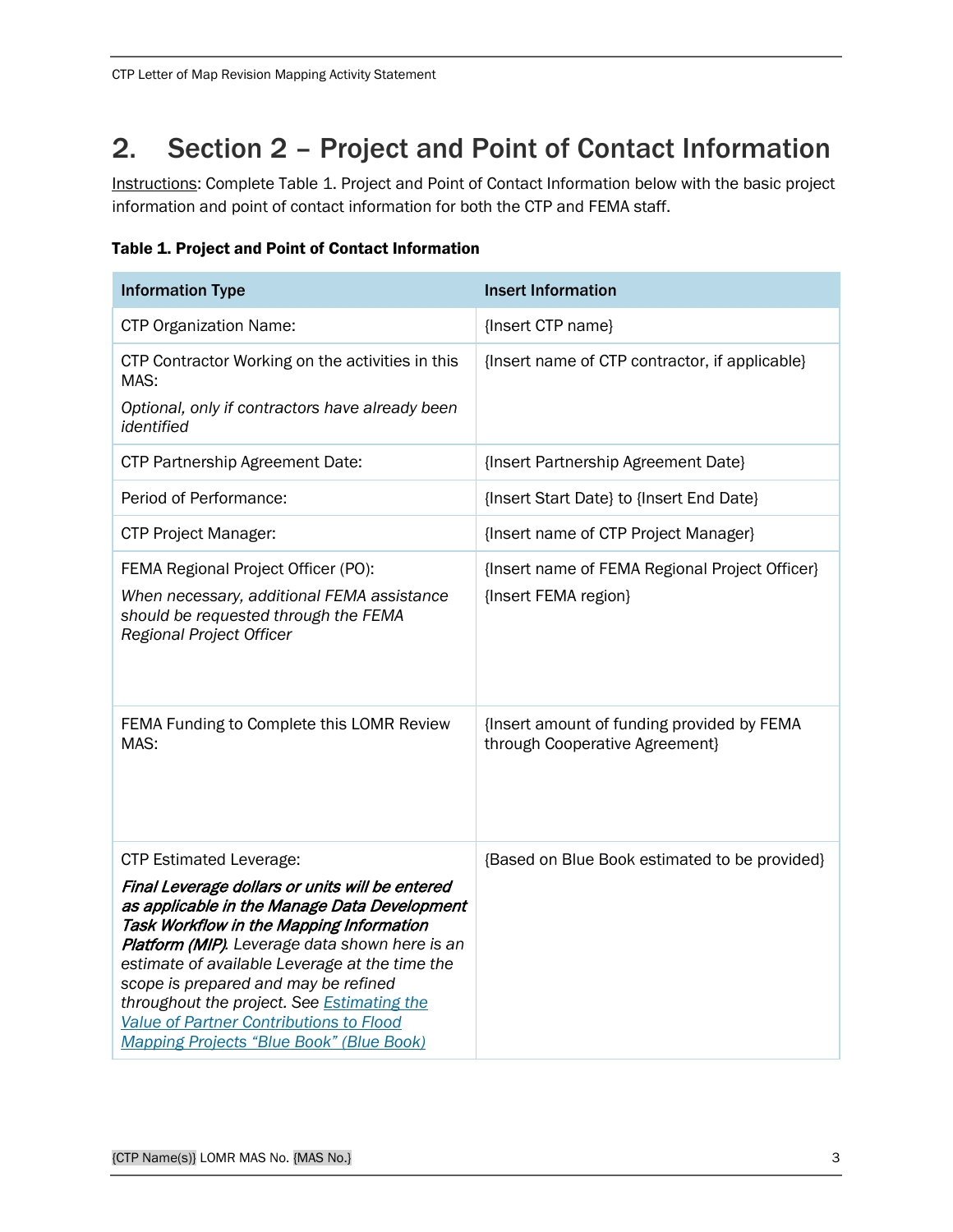# <span id="page-6-0"></span>2. Section 2 – Project and Point of Contact Information

Instructions: Complete [Table 1. Project and Point of Contact Information](#page-6-1) below with the basic project information and point of contact information for both the CTP and FEMA staff.

#### <span id="page-6-1"></span>Table 1. Project and Point of Contact Information

| <b>Information Type</b>                                                                                                                                                                                                                                                                                                                                                                                                                                                             | <b>Insert Information</b>                                                    |
|-------------------------------------------------------------------------------------------------------------------------------------------------------------------------------------------------------------------------------------------------------------------------------------------------------------------------------------------------------------------------------------------------------------------------------------------------------------------------------------|------------------------------------------------------------------------------|
| <b>CTP Organization Name:</b>                                                                                                                                                                                                                                                                                                                                                                                                                                                       | {Insert CTP name}                                                            |
| CTP Contractor Working on the activities in this<br>MAS:                                                                                                                                                                                                                                                                                                                                                                                                                            | {Insert name of CTP contractor, if applicable}                               |
| Optional, only if contractors have already been<br>identified                                                                                                                                                                                                                                                                                                                                                                                                                       |                                                                              |
| <b>CTP Partnership Agreement Date:</b>                                                                                                                                                                                                                                                                                                                                                                                                                                              | {Insert Partnership Agreement Date}                                          |
| Period of Performance:                                                                                                                                                                                                                                                                                                                                                                                                                                                              | {Insert Start Date} to {Insert End Date}                                     |
| <b>CTP Project Manager:</b>                                                                                                                                                                                                                                                                                                                                                                                                                                                         | {Insert name of CTP Project Manager}                                         |
| FEMA Regional Project Officer (PO):<br>When necessary, additional FEMA assistance<br>should be requested through the FEMA<br>Regional Project Officer                                                                                                                                                                                                                                                                                                                               | {Insert name of FEMA Regional Project Officer}<br>{Insert FEMA region}       |
| FEMA Funding to Complete this LOMR Review<br>MAS:                                                                                                                                                                                                                                                                                                                                                                                                                                   | {Insert amount of funding provided by FEMA<br>through Cooperative Agreement} |
| <b>CTP Estimated Leverage:</b><br>Final Leverage dollars or units will be entered<br>as applicable in the Manage Data Development<br>Task Workflow in the Mapping Information<br>Platform (MIP). Leverage data shown here is an<br>estimate of available Leverage at the time the<br>scope is prepared and may be refined<br>throughout the project. See <b>Estimating the</b><br><b>Value of Partner Contributions to Flood</b><br><b>Mapping Projects "Blue Book" (Blue Book)</b> | {Based on Blue Book estimated to be provided}                                |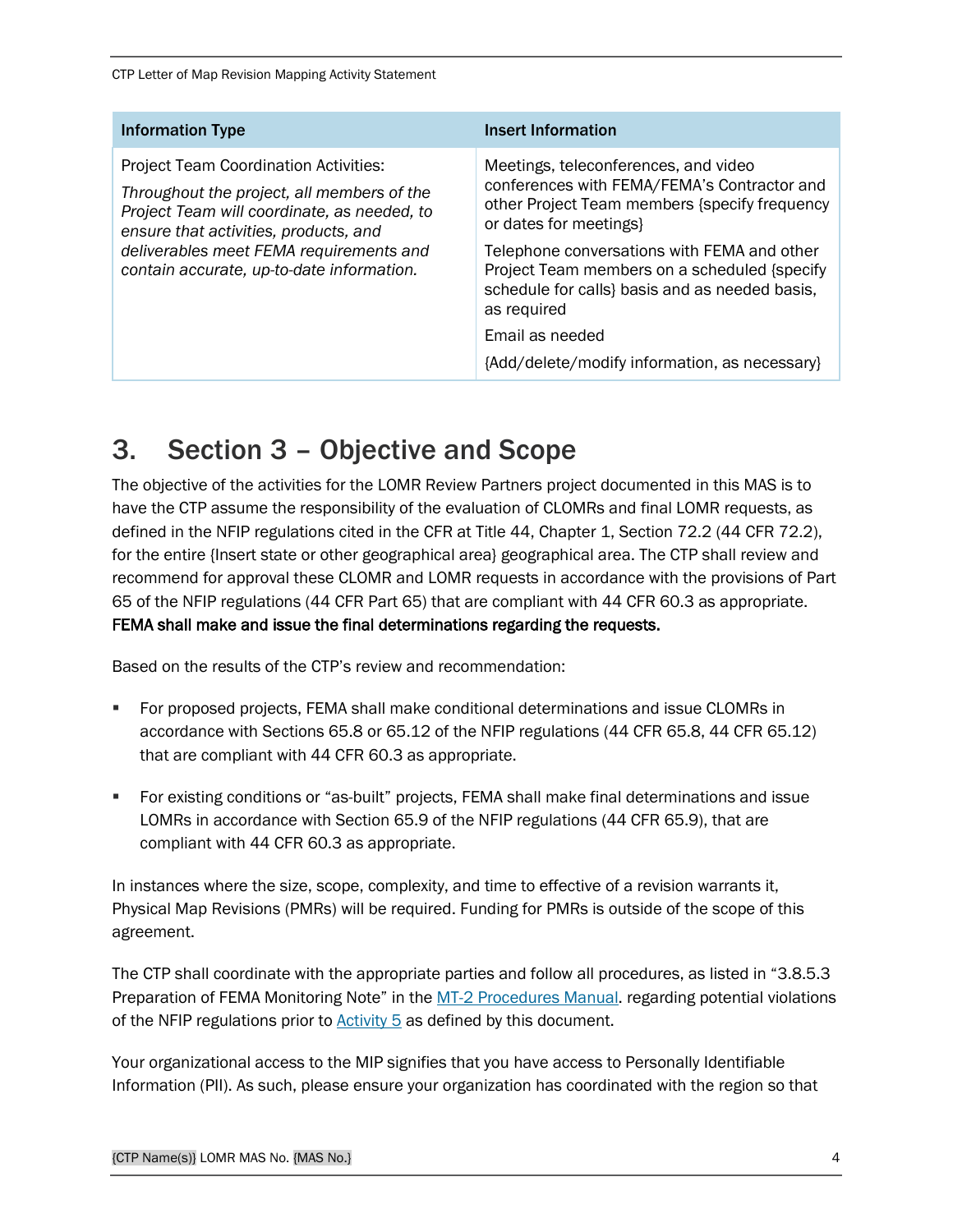| <b>Information Type</b>                                                                                                                                                                                                                                                    | Insert Information                                                                                                                                                                                                                                                                                                                                                                                 |
|----------------------------------------------------------------------------------------------------------------------------------------------------------------------------------------------------------------------------------------------------------------------------|----------------------------------------------------------------------------------------------------------------------------------------------------------------------------------------------------------------------------------------------------------------------------------------------------------------------------------------------------------------------------------------------------|
| <b>Project Team Coordination Activities:</b><br>Throughout the project, all members of the<br>Project Team will coordinate, as needed, to<br>ensure that activities, products, and<br>deliverables meet FEMA requirements and<br>contain accurate, up-to-date information. | Meetings, teleconferences, and video<br>conferences with FEMA/FEMA's Contractor and<br>other Project Team members {specify frequency<br>or dates for meetings}<br>Telephone conversations with FEMA and other<br>Project Team members on a scheduled {specify<br>schedule for calls} basis and as needed basis,<br>as required<br>Email as needed<br>{Add/delete/modify information, as necessary} |

# <span id="page-7-0"></span>3. Section 3 – Objective and Scope

The objective of the activities for the LOMR Review Partners project documented in this MAS is to have the CTP assume the responsibility of the evaluation of CLOMRs and final LOMR requests, as defined in the NFIP regulations cited in the CFR at Title 44, Chapter 1, Section 72.2 (44 CFR 72.2), for the entire {Insert state or other geographical area} geographical area. The CTP shall review and recommend for approval these CLOMR and LOMR requests in accordance with the provisions of Part 65 of the NFIP regulations (44 CFR Part 65) that are compliant with 44 CFR 60.3 as appropriate. FEMA shall make and issue the final determinations regarding the requests.

Based on the results of the CTP's review and recommendation:

- For proposed projects, FEMA shall make conditional determinations and issue CLOMRs in accordance with Sections 65.8 or 65.12 of the NFIP regulations (44 CFR 65.8, 44 CFR 65.12) that are compliant with 44 CFR 60.3 as appropriate.
- For existing conditions or "as-built" projects, FEMA shall make final determinations and issue LOMRs in accordance with Section 65.9 of the NFIP regulations (44 CFR 65.9), that are compliant with 44 CFR 60.3 as appropriate.

In instances where the size, scope, complexity, and time to effective of a revision warrants it, Physical Map Revisions (PMRs) will be required. Funding for PMRs is outside of the scope of this agreement.

The CTP shall coordinate with the appropriate parties and follow all procedures, as listed in "3.8.5.3 Preparation of FEMA Monitoring Note" in th[e MT-2 Procedures Manual.](https://rmd.msc.fema.gov/EngineeringModeling/EngineeringServices/SitePages/MT-2%20Processing.aspx?RootFolder=%2FEngineeringModeling%2FEngineeringServices%2FMT2%20CLOMRLOMR%20Processing%2FMT%2D2%20Procedures%20Manual&FolderCTID=0x012000CEC376AC89953943A27085484145A8E7&View=%7BB171B629%2D4704%2D4CB1%2D9B70%2D389EF4A480D1%7D) regarding potential violations of the NFIP regulations prior to **[Activity 5](#page-15-0)** as defined by this document.

Your organizational access to the MIP signifies that you have access to Personally Identifiable Information (PII). As such, please ensure your organization has coordinated with the region so that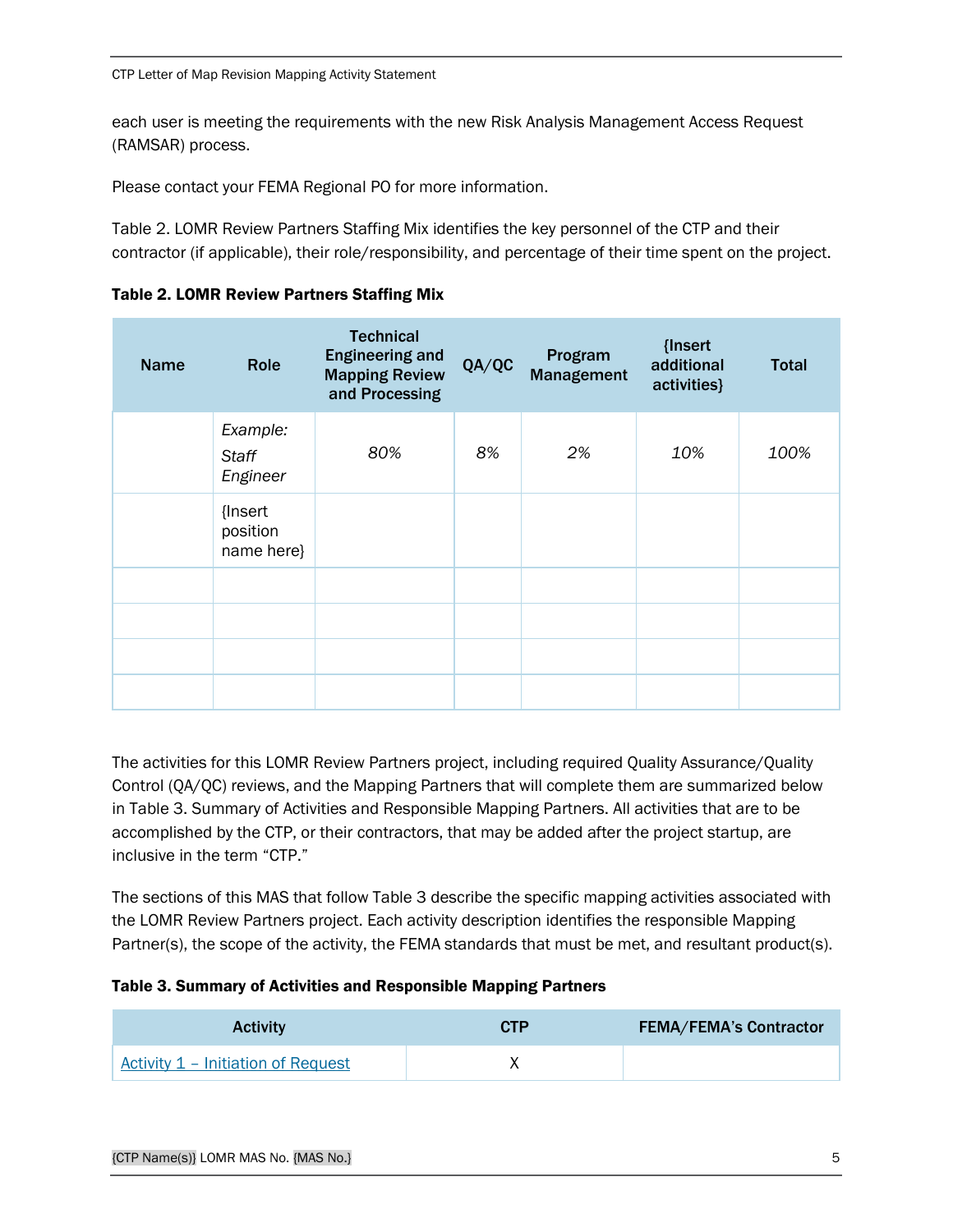each user is meeting the requirements with the new Risk Analysis Management Access Request (RAMSAR) process.

Please contact your FEMA Regional PO for more information.

[Table 2. LOMR Review Partners Staffing Mix](#page-8-0) identifies the key personnel of the CTP and their contractor (if applicable), their role/responsibility, and percentage of their time spent on the project.

|  | <b>Table 2. LONIR Review Partners Staffing MIX</b> |  |
|--|----------------------------------------------------|--|
|  |                                                    |  |

<span id="page-8-0"></span>Table 2. LOMR Review Partners Staffing Mix

| <b>Name</b> | <b>Role</b>                          | <b>Technical</b><br><b>Engineering and</b><br><b>Mapping Review</b><br>and Processing | QA/QC | Program<br>Management | {Insert<br>additional<br>activities} | <b>Total</b> |
|-------------|--------------------------------------|---------------------------------------------------------------------------------------|-------|-----------------------|--------------------------------------|--------------|
|             | Example:<br><b>Staff</b><br>Engineer | 80%                                                                                   | 8%    | 2%                    | 10%                                  | 100%         |
|             | {Insert<br>position<br>name here}    |                                                                                       |       |                       |                                      |              |
|             |                                      |                                                                                       |       |                       |                                      |              |
|             |                                      |                                                                                       |       |                       |                                      |              |
|             |                                      |                                                                                       |       |                       |                                      |              |
|             |                                      |                                                                                       |       |                       |                                      |              |

The activities for this LOMR Review Partners project, including required Quality Assurance/Quality Control (QA/QC) reviews, and the Mapping Partners that will complete them are summarized below in [Table 3. Summary of Activities and Responsible Mapping Partners.](#page-8-1) All activities that are to be accomplished by the CTP, or their contractors, that may be added after the project startup, are inclusive in the term "CTP."

The sections of this MAS that follow [Table 3](#page-8-1) describe the specific mapping activities associated with the LOMR Review Partners project. Each activity description identifies the responsible Mapping Partner(s), the scope of the activity, the FEMA standards that must be met, and resultant product(s).

#### <span id="page-8-1"></span>Table 3. Summary of Activities and Responsible Mapping Partners

| <b>Activity</b>                    | <b>CTP</b> | <b>FEMA/FEMA's Contractor</b> |
|------------------------------------|------------|-------------------------------|
| Activity 1 – Initiation of Request |            |                               |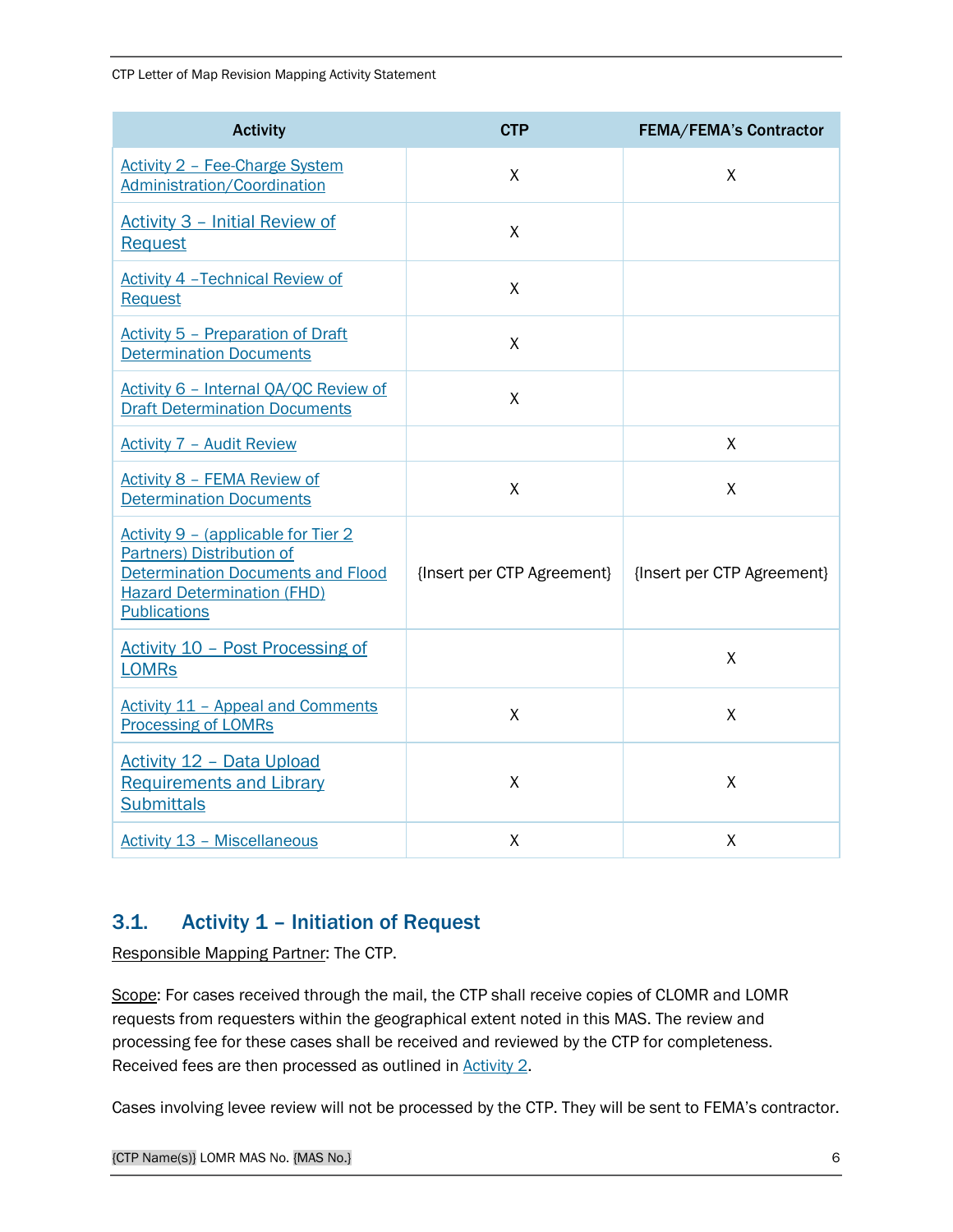| <b>Activity</b>                                                                                                                                                                 | <b>CTP</b>                 | <b>FEMA/FEMA's Contractor</b> |
|---------------------------------------------------------------------------------------------------------------------------------------------------------------------------------|----------------------------|-------------------------------|
| <b>Activity 2 - Fee-Charge System</b><br><b>Administration/Coordination</b>                                                                                                     | X                          | X                             |
| <b>Activity 3 - Initial Review of</b><br><b>Request</b>                                                                                                                         | X                          |                               |
| <b>Activity 4 - Technical Review of</b><br><b>Request</b>                                                                                                                       | $\mathsf{X}$               |                               |
| <b>Activity 5 - Preparation of Draft</b><br><b>Determination Documents</b>                                                                                                      | X                          |                               |
| Activity 6 - Internal QA/QC Review of<br><b>Draft Determination Documents</b>                                                                                                   | X                          |                               |
| <b>Activity 7 - Audit Review</b>                                                                                                                                                |                            | X                             |
| Activity 8 - FEMA Review of<br><b>Determination Documents</b>                                                                                                                   | X                          | X                             |
| Activity 9 - (applicable for Tier 2<br><b>Partners) Distribution of</b><br><b>Determination Documents and Flood</b><br><b>Hazard Determination (FHD)</b><br><b>Publications</b> | {Insert per CTP Agreement} | {Insert per CTP Agreement}    |
| Activity 10 - Post Processing of<br><b>LOMRS</b>                                                                                                                                |                            | X                             |
| <b>Activity 11 - Appeal and Comments</b><br><b>Processing of LOMRs</b>                                                                                                          | $\sf X$                    | X                             |
| <b>Activity 12 - Data Upload</b><br><b>Requirements and Library</b><br><b>Submittals</b>                                                                                        | $\sf X$                    | X                             |
| <b>Activity 13 - Miscellaneous</b>                                                                                                                                              | X                          | Χ                             |

## <span id="page-9-0"></span>3.1. Activity 1 – Initiation of Request

Responsible Mapping Partner: The CTP.

Scope: For cases received through the mail, the CTP shall receive copies of CLOMR and LOMR requests from requesters within the geographical extent noted in this MAS. The review and processing fee for these cases shall be received and reviewed by the CTP for completeness. Received fees are then processed as outlined in [Activity 2.](#page-10-0)

Cases involving levee review will not be processed by the CTP. They will be sent to FEMA's contractor.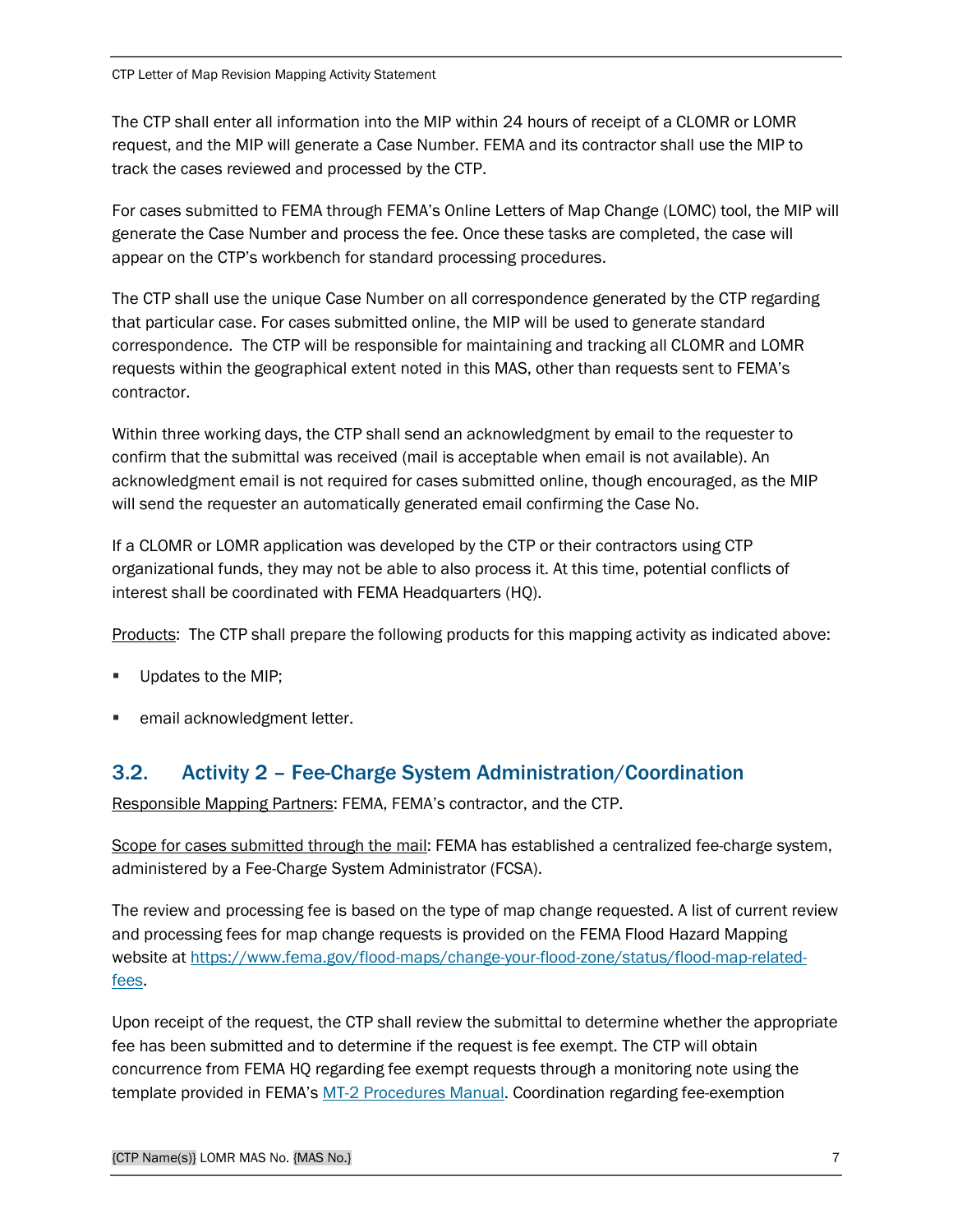The CTP shall enter all information into the MIP within 24 hours of receipt of a CLOMR or LOMR request, and the MIP will generate a Case Number. FEMA and its contractor shall use the MIP to track the cases reviewed and processed by the CTP.

For cases submitted to FEMA through FEMA's Online Letters of Map Change (LOMC) tool, the MIP will generate the Case Number and process the fee. Once these tasks are completed, the case will appear on the CTP's workbench for standard processing procedures.

The CTP shall use the unique Case Number on all correspondence generated by the CTP regarding that particular case. For cases submitted online, the MIP will be used to generate standard correspondence. The CTP will be responsible for maintaining and tracking all CLOMR and LOMR requests within the geographical extent noted in this MAS, other than requests sent to FEMA's contractor.

Within three working days, the CTP shall send an acknowledgment by email to the requester to confirm that the submittal was received (mail is acceptable when email is not available). An acknowledgment email is not required for cases submitted online, though encouraged, as the MIP will send the requester an automatically generated email confirming the Case No.

If a CLOMR or LOMR application was developed by the CTP or their contractors using CTP organizational funds, they may not be able to also process it. At this time, potential conflicts of interest shall be coordinated with FEMA Headquarters (HQ).

Products: The CTP shall prepare the following products for this mapping activity as indicated above:

- Updates to the MIP;
- email acknowledgment letter.

## <span id="page-10-0"></span>3.2. Activity 2 – Fee-Charge System Administration/Coordination

Responsible Mapping Partners: FEMA, FEMA's contractor, and the CTP.

Scope for cases submitted through the mail: FEMA has established a centralized fee-charge system, administered by a Fee-Charge System Administrator (FCSA).

The review and processing fee is based on the type of map change requested. A list of current review and processing fees for map change requests is provided on the FEMA Flood Hazard Mapping website at [https://www.fema.gov/flood-maps/change-your-flood-zone/status/flood-map-related](https://www.fema.gov/flood-maps/change-your-flood-zone/status/flood-map-related-fees)[fees.](https://www.fema.gov/flood-maps/change-your-flood-zone/status/flood-map-related-fees)

Upon receipt of the request, the CTP shall review the submittal to determine whether the appropriate fee has been submitted and to determine if the request is fee exempt. The CTP will obtain concurrence from FEMA HQ regarding fee exempt requests through a monitoring note using the template provided in FEMA's [MT-2 Procedures Manual.](https://rmd.msc.fema.gov/EngineeringModeling/EngineeringServices/SitePages/MT-2%20Processing.aspx?RootFolder=%2FEngineeringModeling%2FEngineeringServices%2FMT2%20CLOMRLOMR%20Processing%2FMT%2D2%20Procedures%20Manual&FolderCTID=0x012000CEC376AC89953943A27085484145A8E7&View=%7BB171B629%2D4704%2D4CB1%2D9B70%2D389EF4A480D1%7D) Coordination regarding fee-exemption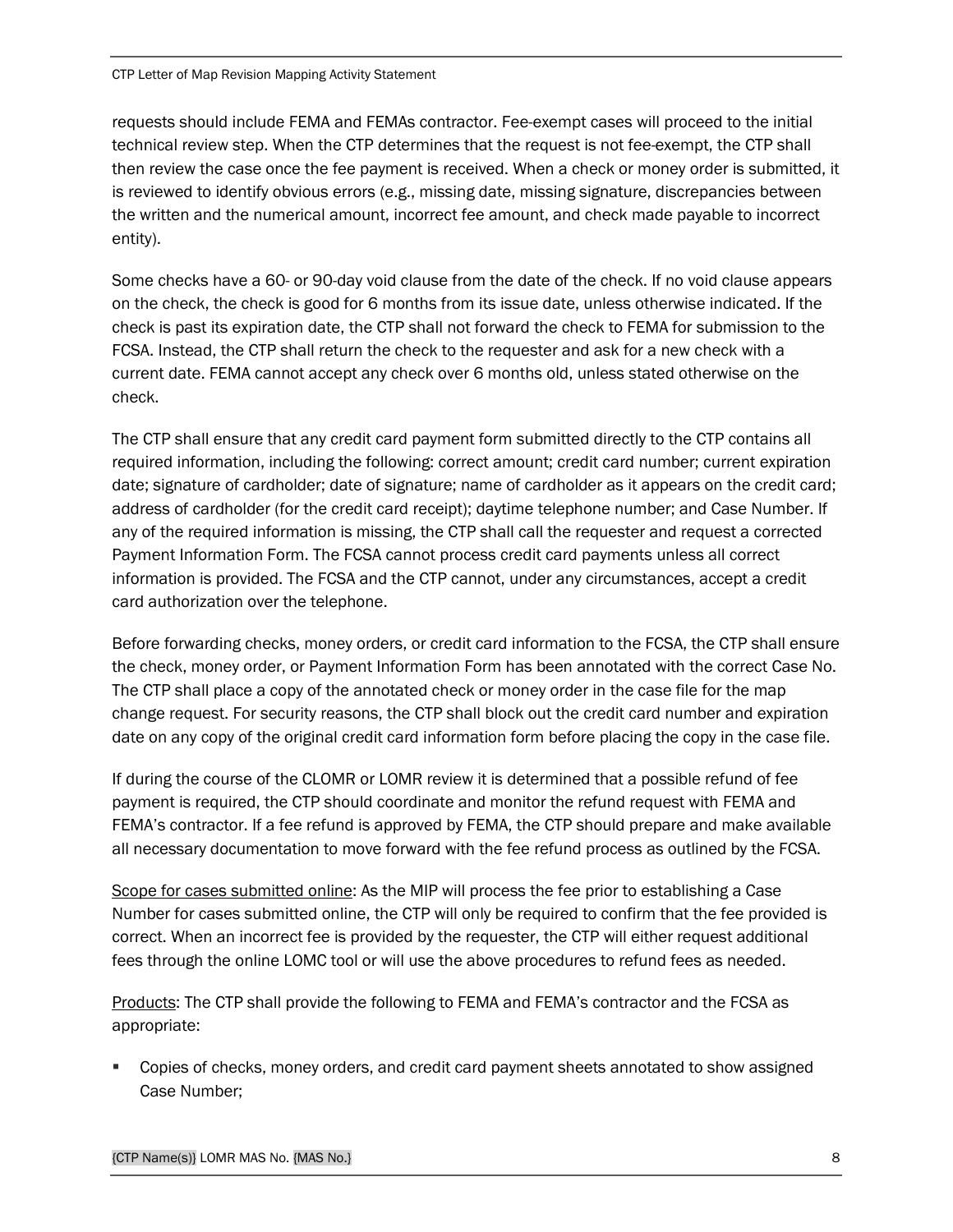requests should include FEMA and FEMAs contractor. Fee-exempt cases will proceed to the initial technical review step. When the CTP determines that the request is not fee-exempt, the CTP shall then review the case once the fee payment is received. When a check or money order is submitted, it is reviewed to identify obvious errors (e.g., missing date, missing signature, discrepancies between the written and the numerical amount, incorrect fee amount, and check made payable to incorrect entity).

Some checks have a 60- or 90-day void clause from the date of the check. If no void clause appears on the check, the check is good for 6 months from its issue date, unless otherwise indicated. If the check is past its expiration date, the CTP shall not forward the check to FEMA for submission to the FCSA. Instead, the CTP shall return the check to the requester and ask for a new check with a current date. FEMA cannot accept any check over 6 months old, unless stated otherwise on the check.

The CTP shall ensure that any credit card payment form submitted directly to the CTP contains all required information, including the following: correct amount; credit card number; current expiration date; signature of cardholder; date of signature; name of cardholder as it appears on the credit card; address of cardholder (for the credit card receipt); daytime telephone number; and Case Number. If any of the required information is missing, the CTP shall call the requester and request a corrected Payment Information Form. The FCSA cannot process credit card payments unless all correct information is provided. The FCSA and the CTP cannot, under any circumstances, accept a credit card authorization over the telephone.

Before forwarding checks, money orders, or credit card information to the FCSA, the CTP shall ensure the check, money order, or Payment Information Form has been annotated with the correct Case No. The CTP shall place a copy of the annotated check or money order in the case file for the map change request. For security reasons, the CTP shall block out the credit card number and expiration date on any copy of the original credit card information form before placing the copy in the case file.

If during the course of the CLOMR or LOMR review it is determined that a possible refund of fee payment is required, the CTP should coordinate and monitor the refund request with FEMA and FEMA's contractor. If a fee refund is approved by FEMA, the CTP should prepare and make available all necessary documentation to move forward with the fee refund process as outlined by the FCSA.

Scope for cases submitted online: As the MIP will process the fee prior to establishing a Case Number for cases submitted online, the CTP will only be required to confirm that the fee provided is correct. When an incorrect fee is provided by the requester, the CTP will either request additional fees through the online LOMC tool or will use the above procedures to refund fees as needed.

Products: The CTP shall provide the following to FEMA and FEMA's contractor and the FCSA as appropriate:

 Copies of checks, money orders, and credit card payment sheets annotated to show assigned Case Number;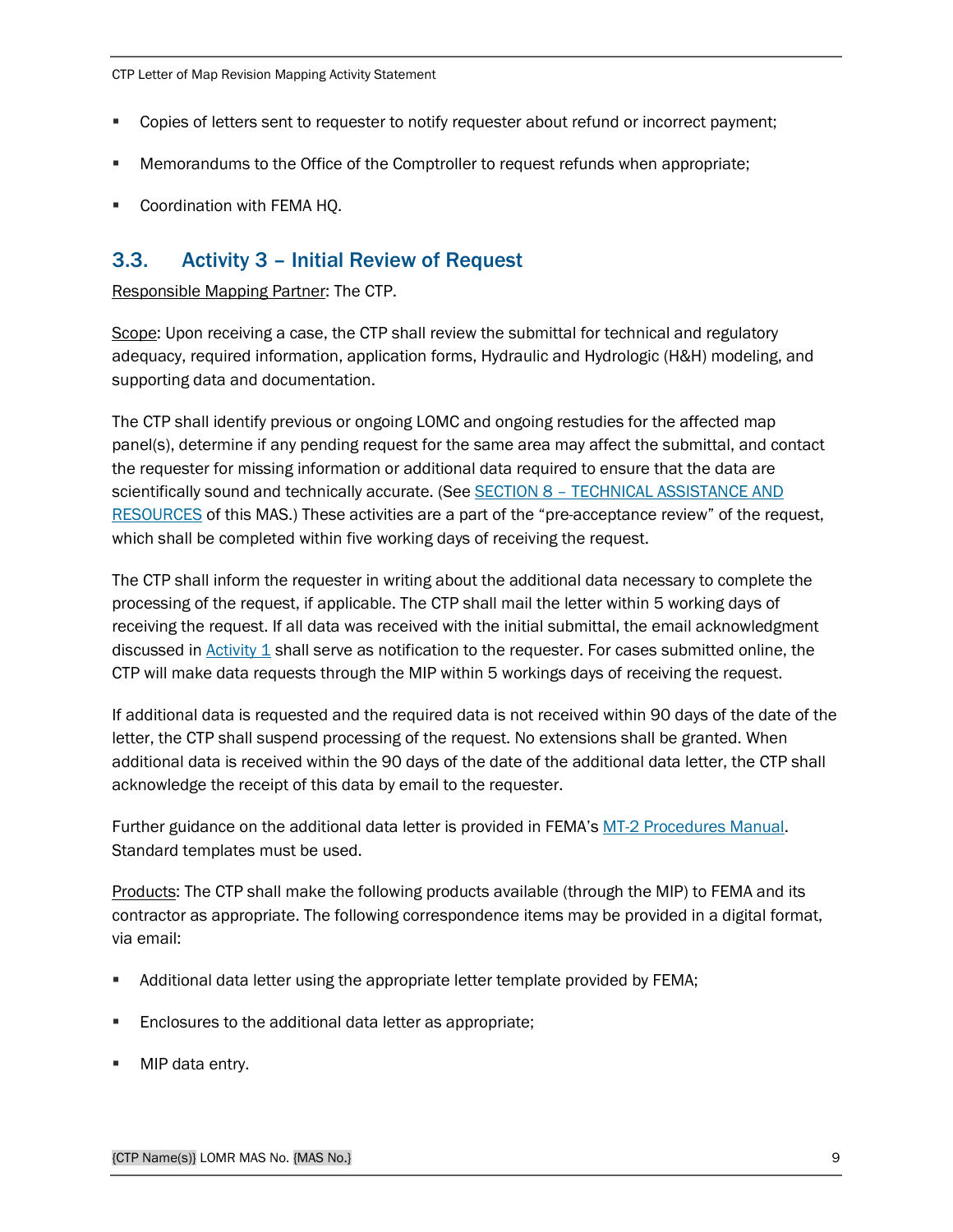- Copies of letters sent to requester to notify requester about refund or incorrect payment;
- Memorandums to the Office of the Comptroller to request refunds when appropriate;
- Coordination with FEMA HQ.

## <span id="page-12-0"></span>3.3. Activity 3 – Initial Review of Request

Responsible Mapping Partner: The CTP.

Scope: Upon receiving a case, the CTP shall review the submittal for technical and regulatory adequacy, required information, application forms, Hydraulic and Hydrologic (H&H) modeling, and supporting data and documentation.

The CTP shall identify previous or ongoing LOMC and ongoing restudies for the affected map panel(s), determine if any pending request for the same area may affect the submittal, and contact the requester for missing information or additional data required to ensure that the data are scientifically sound and technically accurate. (See [SECTION 8 – TECHNICAL ASSISTANCE AND](#page-24-1)  [RESOURCES](#page-24-1) of this MAS.) These activities are a part of the "pre-acceptance review" of the request, which shall be completed within five working days of receiving the request.

The CTP shall inform the requester in writing about the additional data necessary to complete the processing of the request, if applicable. The CTP shall mail the letter within 5 working days of receiving the request. If all data was received with the initial submittal, the email acknowledgment discussed in [Activity 1](#page-9-0) shall serve as notification to the requester. For cases submitted online, the CTP will make data requests through the MIP within 5 workings days of receiving the request.

If additional data is requested and the required data is not received within 90 days of the date of the letter, the CTP shall suspend processing of the request. No extensions shall be granted. When additional data is received within the 90 days of the date of the additional data letter, the CTP shall acknowledge the receipt of this data by email to the requester.

Further guidance on the additional data letter is provided in FEMA's [MT-2 Procedures Manual.](https://rmd.msc.fema.gov/EngineeringModeling/EngineeringServices/SitePages/MT-2%20Processing.aspx?RootFolder=%2FEngineeringModeling%2FEngineeringServices%2FMT2%20CLOMRLOMR%20Processing%2FMT%2D2%20Procedures%20Manual&FolderCTID=0x012000CEC376AC89953943A27085484145A8E7&View=%7BB171B629%2D4704%2D4CB1%2D9B70%2D389EF4A480D1%7D) Standard templates must be used.

Products: The CTP shall make the following products available (through the MIP) to FEMA and its contractor as appropriate. The following correspondence items may be provided in a digital format, via email:

- Additional data letter using the appropriate letter template provided by FEMA;
- **Enclosures to the additional data letter as appropriate:**
- MIP data entry.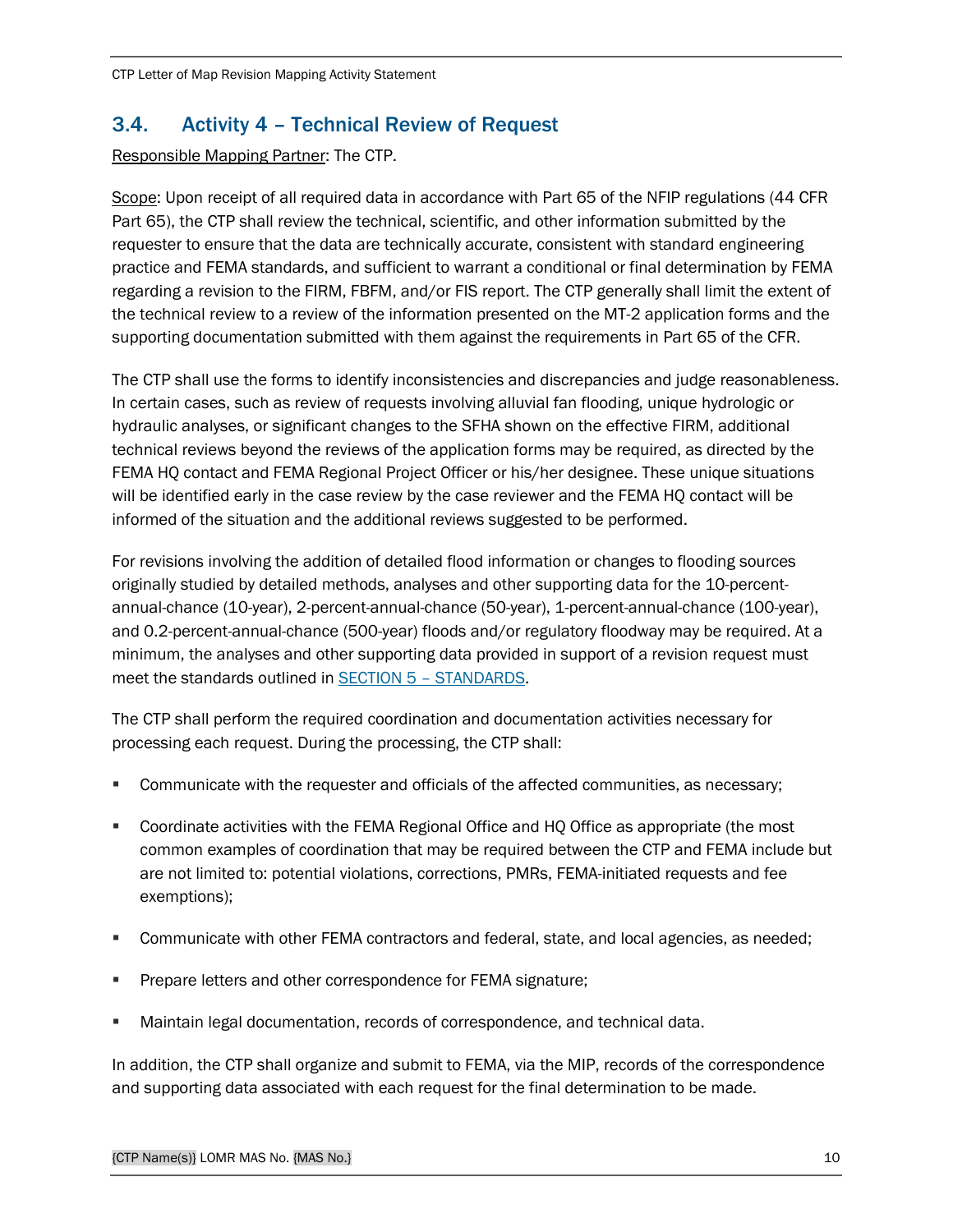## <span id="page-13-0"></span>3.4. Activity 4 – Technical Review of Request

#### Responsible Mapping Partner: The CTP.

Scope: Upon receipt of all required data in accordance with Part 65 of the NFIP regulations (44 CFR Part 65), the CTP shall review the technical, scientific, and other information submitted by the requester to ensure that the data are technically accurate, consistent with standard engineering practice and FEMA standards, and sufficient to warrant a conditional or final determination by FEMA regarding a revision to the FIRM, FBFM, and/or FIS report. The CTP generally shall limit the extent of the technical review to a review of the information presented on the MT-2 application forms and the supporting documentation submitted with them against the requirements in Part 65 of the CFR.

The CTP shall use the forms to identify inconsistencies and discrepancies and judge reasonableness. In certain cases, such as review of requests involving alluvial fan flooding, unique hydrologic or hydraulic analyses, or significant changes to the SFHA shown on the effective FIRM, additional technical reviews beyond the reviews of the application forms may be required, as directed by the FEMA HQ contact and FEMA Regional Project Officer or his/her designee. These unique situations will be identified early in the case review by the case reviewer and the FEMA HQ contact will be informed of the situation and the additional reviews suggested to be performed.

For revisions involving the addition of detailed flood information or changes to flooding sources originally studied by detailed methods, analyses and other supporting data for the 10-percentannual-chance (10-year), 2-percent-annual-chance (50-year), 1-percent-annual-chance (100-year), and 0.2-percent-annual-chance (500-year) floods and/or regulatory floodway may be required. At a minimum, the analyses and other supporting data provided in support of a revision request must meet the standards outlined in [SECTION 5 – STANDARDS.](#page-22-1)

The CTP shall perform the required coordination and documentation activities necessary for processing each request. During the processing, the CTP shall:

- Communicate with the requester and officials of the affected communities, as necessary;
- Coordinate activities with the FEMA Regional Office and HQ Office as appropriate (the most common examples of coordination that may be required between the CTP and FEMA include but are not limited to: potential violations, corrections, PMRs, FEMA-initiated requests and fee exemptions);
- Communicate with other FEMA contractors and federal, state, and local agencies, as needed;
- Prepare letters and other correspondence for FEMA signature;
- Maintain legal documentation, records of correspondence, and technical data.

In addition, the CTP shall organize and submit to FEMA, via the MIP, records of the correspondence and supporting data associated with each request for the final determination to be made.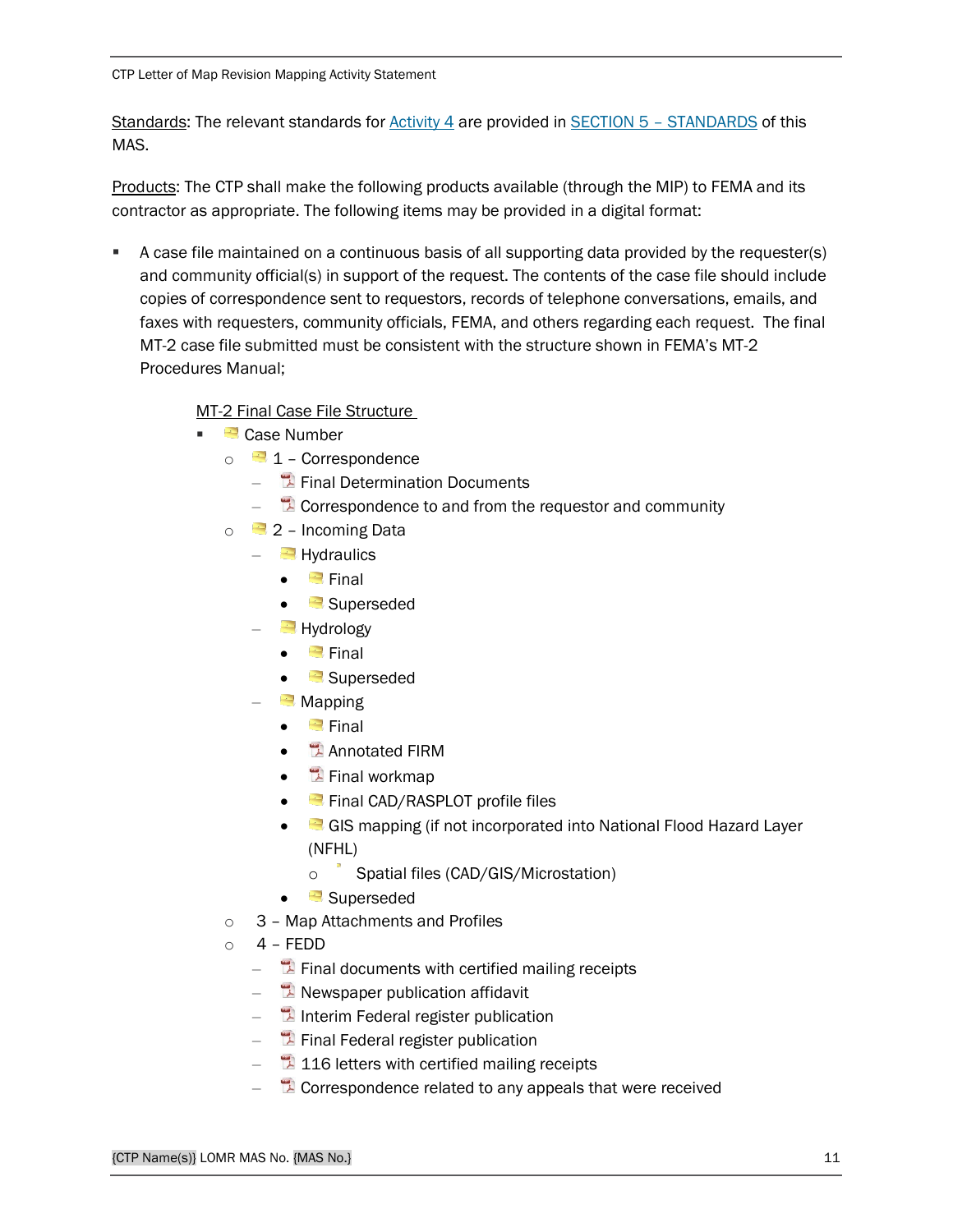Standards: The relevant standards for [Activity 4](#page-13-0) are provided in [SECTION 5 – STANDARDS](#page-22-1) of this MAS.

Products: The CTP shall make the following products available (through the MIP) to FEMA and its contractor as appropriate. The following items may be provided in a digital format:

 A case file maintained on a continuous basis of all supporting data provided by the requester(s) and community official(s) in support of the request. The contents of the case file should include copies of correspondence sent to requestors, records of telephone conversations, emails, and faxes with requesters, community officials, FEMA, and others regarding each request. The final MT-2 case file submitted must be consistent with the structure shown in FEMA's MT-2 Procedures Manual;

#### MT-2 Final Case File Structure

- **Case Number** 
	- $\circ$   $\bullet$  1 Correspondence
		- **E** Final Determination Documents
		- $\Box$  Correspondence to and from the requestor and community
	- $\circ$  2 Incoming Data
		- $\equiv$  Hydraulics
			- $\bullet$   $\blacksquare$  Final
			- Superseded
		- $\equiv$  Hydrology
			- $\bullet$   $\blacksquare$  Final
			- **Superseded**
			- $\blacksquare$  Mapping
				- Final
				- **Annotated FIRM**
				- $\bullet$   $\blacksquare$  Final workmap
				- **Final CAD/RASPLOT profile files**
				- GIS mapping (if not incorporated into National Flood Hazard Layer (NFHL)
					- o Spatial files (CAD/GIS/Microstation)
				- Superseded
	- $\circ$  3 Map Attachments and Profiles
	- $O$  4 FEDD
		- $\Box$  Final documents with certified mailing receipts
		- $\Box$  Newspaper publication affidavit
		- $\Box$  Interim Federal register publication
		- $\blacksquare$  Final Federal register publication
		- $\Box$  116 letters with certified mailing receipts
		- $\Box$  Correspondence related to any appeals that were received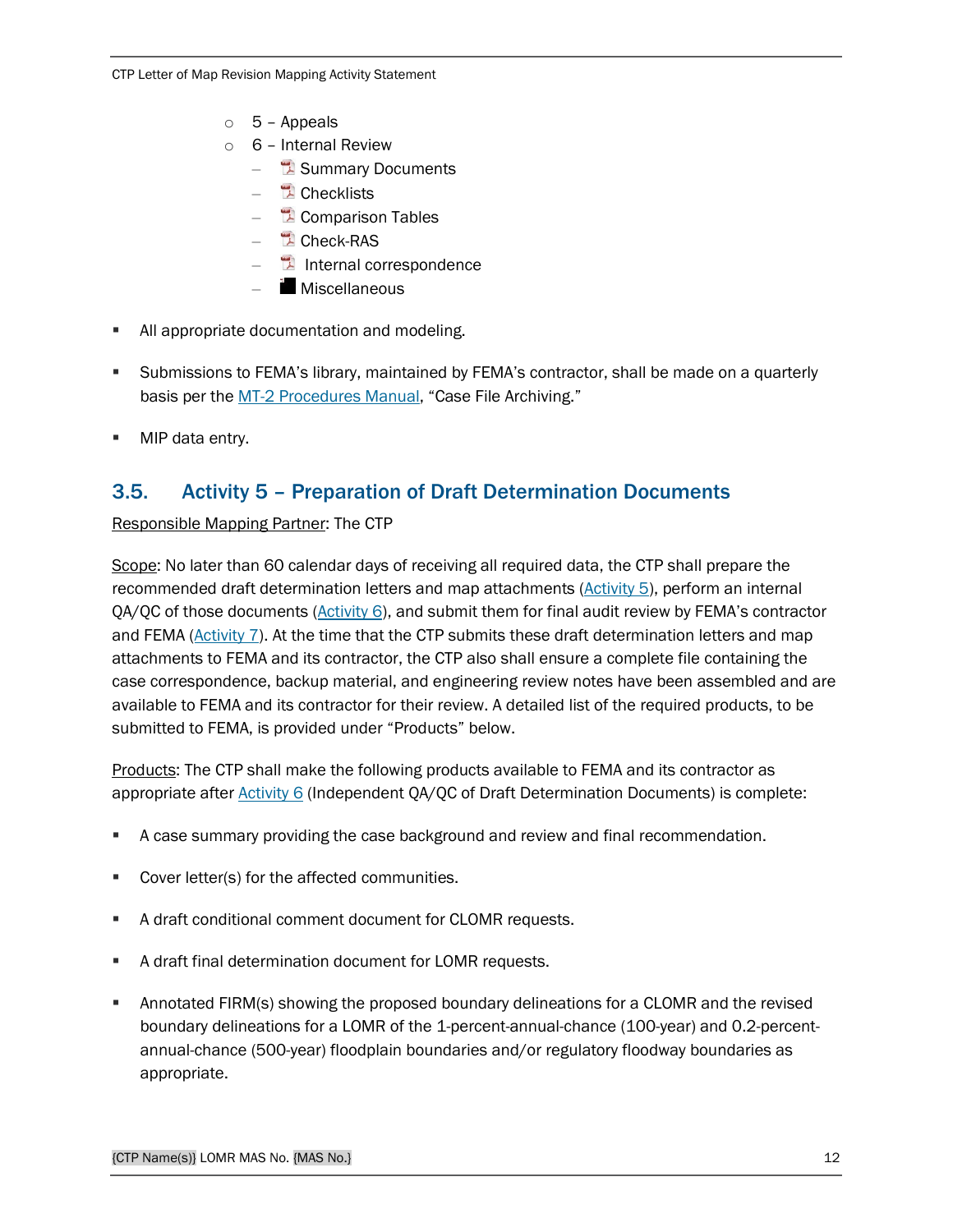- $\circ$  5 Appeals
- $\circ$  6 Internal Review
	- ‒ Summary Documents
	- $\Box$  Checklists
	- ‒ Comparison Tables
	- $-$  **L** Check-RAS
	- $\blacksquare$  Internal correspondence
	- $^{\bullet}$  Miscellaneous
- **All appropriate documentation and modeling.**
- Submissions to FEMA's library, maintained by FEMA's contractor, shall be made on a quarterly basis per the [MT-2 Procedures Manual,](https://rmd.msc.fema.gov/EngineeringModeling/EngineeringServices/SitePages/MT-2%20Processing.aspx?RootFolder=%2FEngineeringModeling%2FEngineeringServices%2FMT2%20CLOMRLOMR%20Processing%2FMT%2D2%20Procedures%20Manual&FolderCTID=0x012000CEC376AC89953943A27085484145A8E7&View=%7BB171B629%2D4704%2D4CB1%2D9B70%2D389EF4A480D1%7D) "Case File Archiving."
- MIP data entry.

## <span id="page-15-0"></span>3.5. Activity 5 – Preparation of Draft Determination Documents

#### Responsible Mapping Partner: The CTP

Scope: No later than 60 calendar days of receiving all required data, the CTP shall prepare the recommended draft determination letters and map attachments [\(Activity 5\)](#page-15-0), perform an internal QA/QC of those documents [\(Activity 6\)](#page-16-0), and submit them for final audit review by FEMA's contractor and FEMA [\(Activity 7\)](#page-17-0). At the time that the CTP submits these draft determination letters and map attachments to FEMA and its contractor, the CTP also shall ensure a complete file containing the case correspondence, backup material, and engineering review notes have been assembled and are available to FEMA and its contractor for their review. A detailed list of the required products, to be submitted to FEMA, is provided under "Products" below.

Products: The CTP shall make the following products available to FEMA and its contractor as appropriate after [Activity 6](#page-16-0) (Independent QA/QC of Draft Determination Documents) is complete:

- A case summary providing the case background and review and final recommendation.
- Cover letter(s) for the affected communities.
- A draft conditional comment document for CLOMR requests.
- A draft final determination document for LOMR requests.
- Annotated FIRM(s) showing the proposed boundary delineations for a CLOMR and the revised boundary delineations for a LOMR of the 1-percent-annual-chance (100-year) and 0.2-percentannual-chance (500-year) floodplain boundaries and/or regulatory floodway boundaries as appropriate.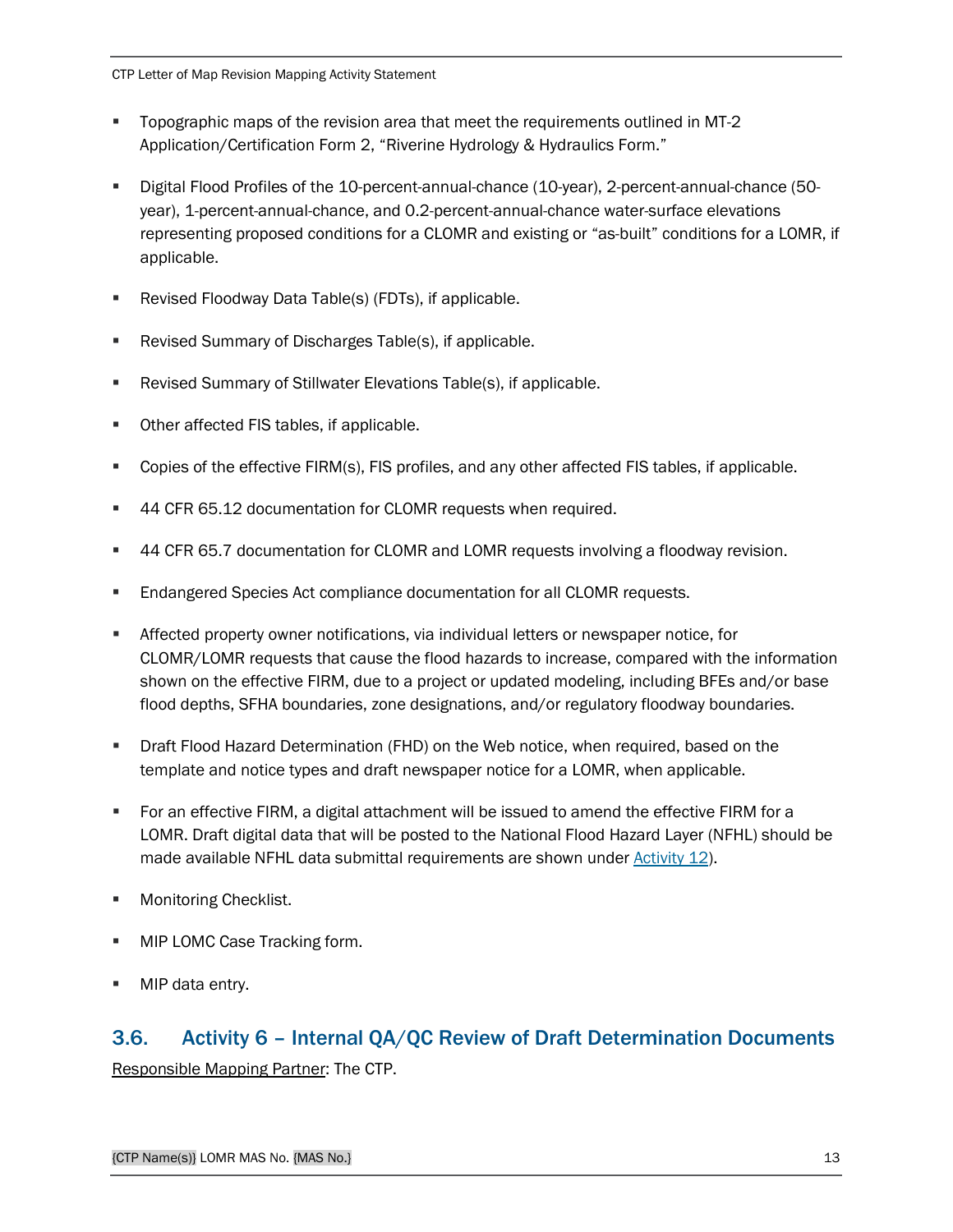- Topographic maps of the revision area that meet the requirements outlined in MT-2 Application/Certification Form 2, "Riverine Hydrology & Hydraulics Form."
- Digital Flood Profiles of the 10-percent-annual-chance (10-year), 2-percent-annual-chance (50 year), 1-percent-annual-chance, and 0.2-percent-annual-chance water-surface elevations representing proposed conditions for a CLOMR and existing or "as-built" conditions for a LOMR, if applicable.
- Revised Floodway Data Table(s) (FDTs), if applicable.
- Revised Summary of Discharges Table(s), if applicable.
- Revised Summary of Stillwater Elevations Table(s), if applicable.
- Other affected FIS tables, if applicable.
- Copies of the effective FIRM(s), FIS profiles, and any other affected FIS tables, if applicable.
- 44 CFR 65.12 documentation for CLOMR requests when required.
- 44 CFR 65.7 documentation for CLOMR and LOMR requests involving a floodway revision.
- **Endangered Species Act compliance documentation for all CLOMR requests.**
- Affected property owner notifications, via individual letters or newspaper notice, for CLOMR/LOMR requests that cause the flood hazards to increase, compared with the information shown on the effective FIRM, due to a project or updated modeling, including BFEs and/or base flood depths, SFHA boundaries, zone designations, and/or regulatory floodway boundaries.
- Draft Flood Hazard Determination (FHD) on the Web notice, when required, based on the template and notice types and draft newspaper notice for a LOMR, when applicable.
- For an effective FIRM, a digital attachment will be issued to amend the effective FIRM for a LOMR. Draft digital data that will be posted to the National Flood Hazard Layer (NFHL) should be made available NFHL data submittal requirements are shown under [Activity 12\)](#page-20-0).
- Monitoring Checklist.
- **MIP LOMC Case Tracking form.**
- MIP data entry.

## <span id="page-16-0"></span>3.6. Activity 6 – Internal QA/QC Review of Draft Determination Documents

Responsible Mapping Partner: The CTP.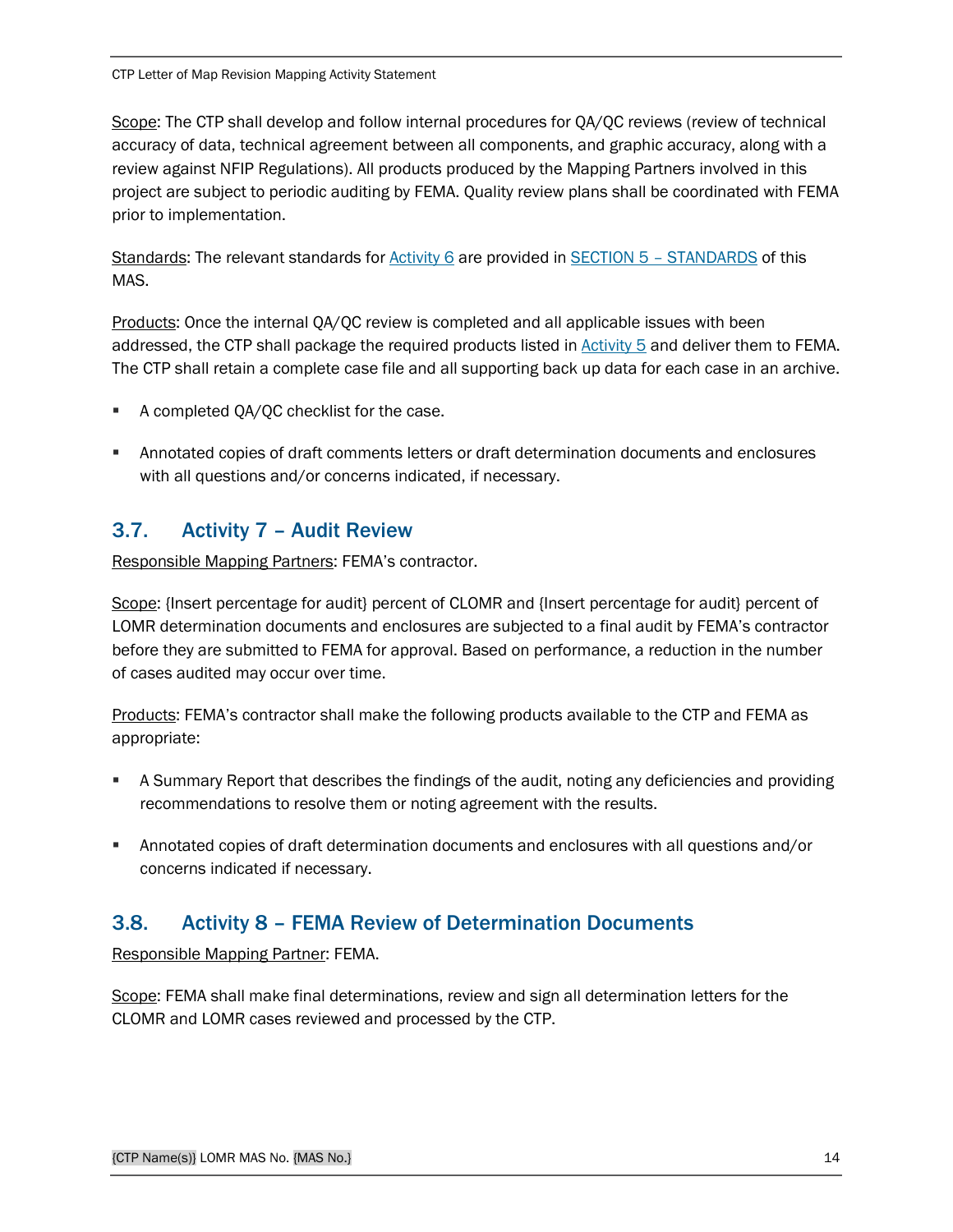Scope: The CTP shall develop and follow internal procedures for QA/QC reviews (review of technical accuracy of data, technical agreement between all components, and graphic accuracy, along with a review against NFIP Regulations). All products produced by the Mapping Partners involved in this project are subject to periodic auditing by FEMA. Quality review plans shall be coordinated with FEMA prior to implementation.

Standards: The relevant standards for  $\frac{\text{Activity 6}}{8}$  are provided in SECTION 5 - STANDARDS of this MAS.

Products: Once the internal QA/QC review is completed and all applicable issues with been addressed, the CTP shall package the required products listed i[n Activity 5](#page-15-0) and deliver them to FEMA. The CTP shall retain a complete case file and all supporting back up data for each case in an archive.

- A completed QA/QC checklist for the case.
- Annotated copies of draft comments letters or draft determination documents and enclosures with all questions and/or concerns indicated, if necessary.

## <span id="page-17-0"></span>3.7. Activity 7 – Audit Review

Responsible Mapping Partners: FEMA's contractor.

Scope: {Insert percentage for audit} percent of CLOMR and {Insert percentage for audit} percent of LOMR determination documents and enclosures are subjected to a final audit by FEMA's contractor before they are submitted to FEMA for approval. Based on performance, a reduction in the number of cases audited may occur over time.

Products: FEMA's contractor shall make the following products available to the CTP and FEMA as appropriate:

- A Summary Report that describes the findings of the audit, noting any deficiencies and providing recommendations to resolve them or noting agreement with the results.
- Annotated copies of draft determination documents and enclosures with all questions and/or concerns indicated if necessary.

## <span id="page-17-1"></span>3.8. Activity 8 – FEMA Review of Determination Documents

Responsible Mapping Partner: FEMA.

Scope: FEMA shall make final determinations, review and sign all determination letters for the CLOMR and LOMR cases reviewed and processed by the CTP.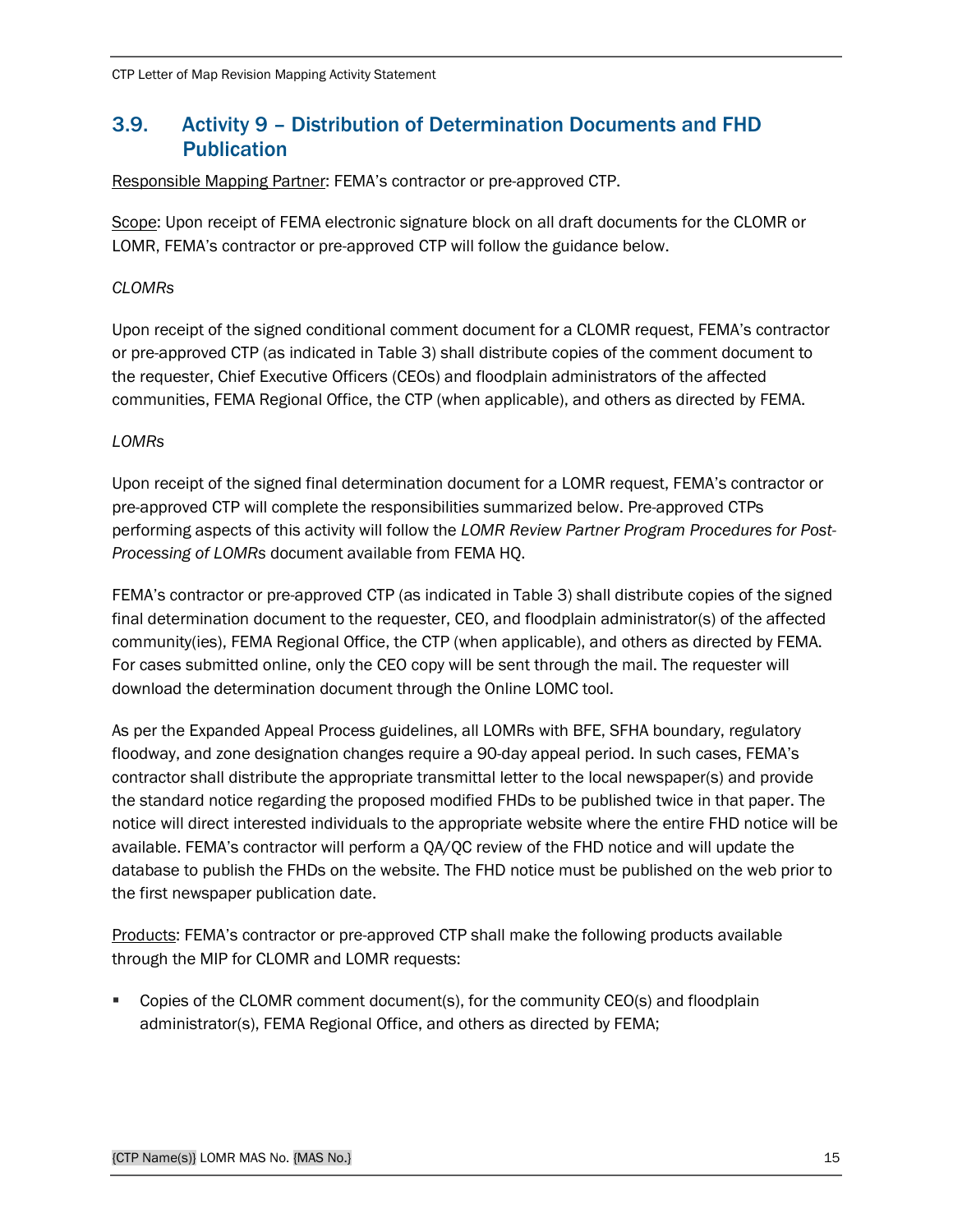## <span id="page-18-0"></span>3.9. Activity 9 – Distribution of Determination Documents and FHD **Publication**

Responsible Mapping Partner: FEMA's contractor or pre-approved CTP.

Scope: Upon receipt of FEMA electronic signature block on all draft documents for the CLOMR or LOMR, FEMA's contractor or pre-approved CTP will follow the guidance below.

#### *CLOMRs*

Upon receipt of the signed conditional comment document for a CLOMR request, FEMA's contractor or pre-approved CTP (as indicated i[n Table 3\)](#page-8-1) shall distribute copies of the comment document to the requester, Chief Executive Officers (CEOs) and floodplain administrators of the affected communities, FEMA Regional Office, the CTP (when applicable), and others as directed by FEMA.

#### *LOMRs*

Upon receipt of the signed final determination document for a LOMR request, FEMA's contractor or pre-approved CTP will complete the responsibilities summarized below. Pre-approved CTPs performing aspects of this activity will follow the *LOMR Review Partner Program Procedures for Post-Processing of LOMRs* document available from FEMA HQ.

FEMA's contractor or pre-approved CTP (as indicated in [Table 3\)](#page-8-1) shall distribute copies of the signed final determination document to the requester, CEO, and floodplain administrator(s) of the affected community(ies), FEMA Regional Office, the CTP (when applicable), and others as directed by FEMA. For cases submitted online, only the CEO copy will be sent through the mail. The requester will download the determination document through the Online LOMC tool.

As per the Expanded Appeal Process guidelines, all LOMRs with BFE, SFHA boundary, regulatory floodway, and zone designation changes require a 90-day appeal period. In such cases, FEMA's contractor shall distribute the appropriate transmittal letter to the local newspaper(s) and provide the standard notice regarding the proposed modified FHDs to be published twice in that paper. The notice will direct interested individuals to the appropriate website where the entire FHD notice will be available. FEMA's contractor will perform a QA/QC review of the FHD notice and will update the database to publish the FHDs on the website. The FHD notice must be published on the web prior to the first newspaper publication date.

Products: FEMA's contractor or pre-approved CTP shall make the following products available through the MIP for CLOMR and LOMR requests:

 Copies of the CLOMR comment document(s), for the community CEO(s) and floodplain administrator(s), FEMA Regional Office, and others as directed by FEMA;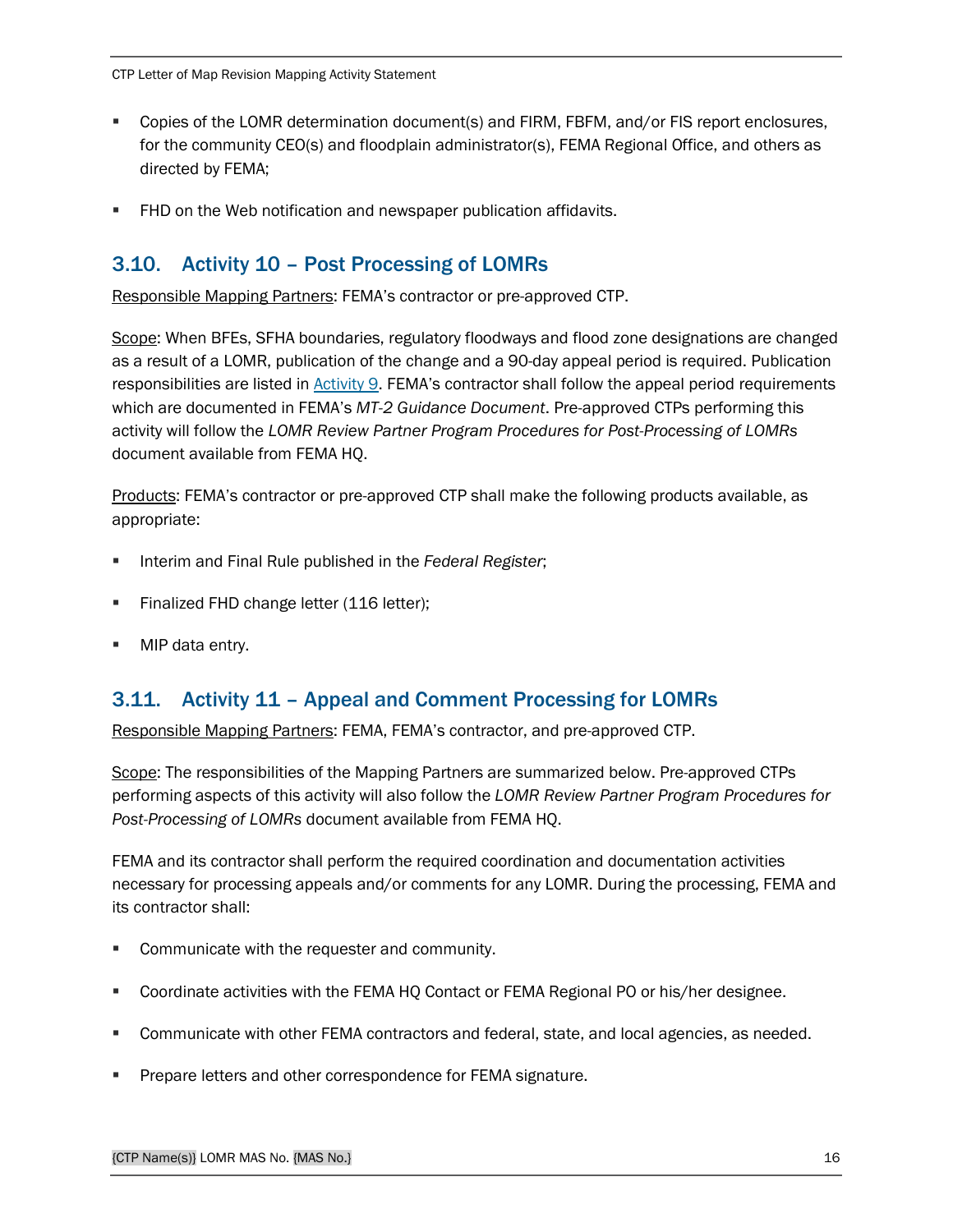- Copies of the LOMR determination document(s) and FIRM, FBFM, and/or FIS report enclosures, for the community CEO(s) and floodplain administrator(s), FEMA Regional Office, and others as directed by FEMA;
- **FHD on the Web notification and newspaper publication affidavits.**

### <span id="page-19-0"></span>3.10. Activity 10 – Post Processing of LOMRs

Responsible Mapping Partners: FEMA's contractor or pre-approved CTP.

Scope: When BFEs, SFHA boundaries, regulatory floodways and flood zone designations are changed as a result of a LOMR, publication of the change and a 90-day appeal period is required. Publication responsibilities are listed in **Activity 9.** FEMA's contractor shall follow the appeal period requirements which are documented in FEMA's *MT-2 Guidance Document*. Pre-approved CTPs performing this activity will follow the *LOMR Review Partner Program Procedures for Post-Processing of LOMRs* document available from FEMA HQ.

Products: FEMA's contractor or pre-approved CTP shall make the following products available, as appropriate:

- Interim and Final Rule published in the *Federal Register*;
- Finalized FHD change letter (116 letter);
- MIP data entry.

## <span id="page-19-1"></span>3.11. Activity 11 – Appeal and Comment Processing for LOMRs

Responsible Mapping Partners: FEMA, FEMA's contractor, and pre-approved CTP.

Scope: The responsibilities of the Mapping Partners are summarized below. Pre-approved CTPs performing aspects of this activity will also follow the *LOMR Review Partner Program Procedures for Post-Processing of LOMRs* document available from FEMA HQ.

FEMA and its contractor shall perform the required coordination and documentation activities necessary for processing appeals and/or comments for any LOMR. During the processing, FEMA and its contractor shall:

- Communicate with the requester and community.
- Coordinate activities with the FEMA HQ Contact or FEMA Regional PO or his/her designee.
- Communicate with other FEMA contractors and federal, state, and local agencies, as needed.
- Prepare letters and other correspondence for FEMA signature.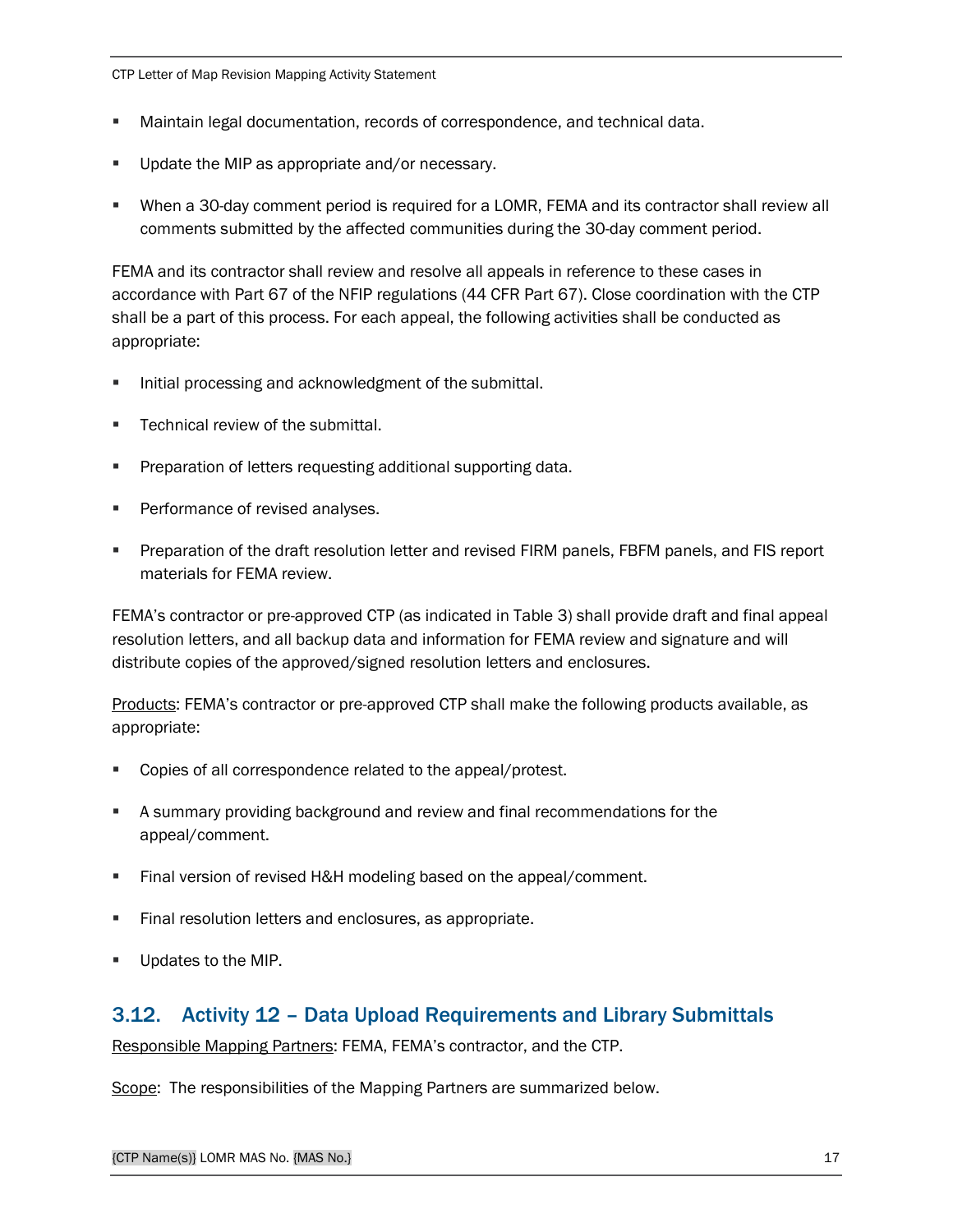- Maintain legal documentation, records of correspondence, and technical data.
- Update the MIP as appropriate and/or necessary.
- When a 30-day comment period is required for a LOMR, FEMA and its contractor shall review all comments submitted by the affected communities during the 30-day comment period.

FEMA and its contractor shall review and resolve all appeals in reference to these cases in accordance with Part 67 of the NFIP regulations (44 CFR Part 67). Close coordination with the CTP shall be a part of this process. For each appeal, the following activities shall be conducted as appropriate:

- Initial processing and acknowledgment of the submittal.
- Technical review of the submittal.
- Preparation of letters requesting additional supporting data.
- **Performance of revised analyses.**
- Preparation of the draft resolution letter and revised FIRM panels, FBFM panels, and FIS report materials for FEMA review.

FEMA's contractor or pre-approved CTP (as indicated in [Table 3\)](#page-8-1) shall provide draft and final appeal resolution letters, and all backup data and information for FEMA review and signature and will distribute copies of the approved/signed resolution letters and enclosures.

Products: FEMA's contractor or pre-approved CTP shall make the following products available, as appropriate:

- Copies of all correspondence related to the appeal/protest.
- A summary providing background and review and final recommendations for the appeal/comment.
- **Final version of revised H&H modeling based on the appeal/comment.**
- **Final resolution letters and enclosures, as appropriate.**
- Updates to the MIP.

#### <span id="page-20-0"></span>3.12. Activity 12 – Data Upload Requirements and Library Submittals

Responsible Mapping Partners: FEMA, FEMA's contractor, and the CTP.

Scope: The responsibilities of the Mapping Partners are summarized below.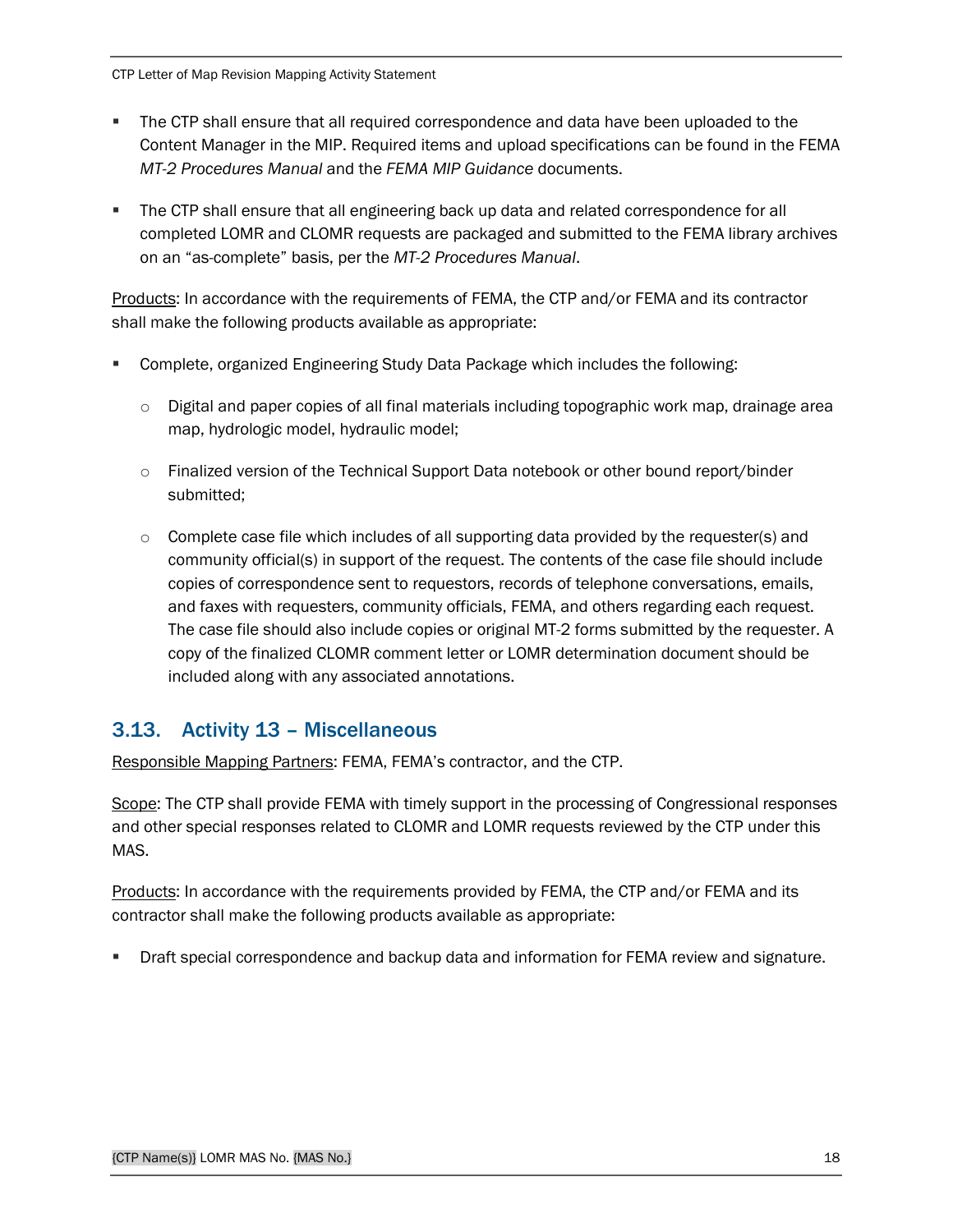- The CTP shall ensure that all required correspondence and data have been uploaded to the Content Manager in the MIP. Required items and upload specifications can be found in the FEMA *MT-2 Procedures Manual* and the *FEMA MIP Guidance* documents.
- The CTP shall ensure that all engineering back up data and related correspondence for all completed LOMR and CLOMR requests are packaged and submitted to the FEMA library archives on an "as-complete" basis, per the *MT-2 Procedures Manual*.

Products: In accordance with the requirements of FEMA, the CTP and/or FEMA and its contractor shall make the following products available as appropriate:

- Complete, organized Engineering Study Data Package which includes the following:
	- $\circ$  Digital and paper copies of all final materials including topographic work map, drainage area map, hydrologic model, hydraulic model;
	- $\circ$  Finalized version of the Technical Support Data notebook or other bound report/binder submitted;
	- $\circ$  Complete case file which includes of all supporting data provided by the requester(s) and community official(s) in support of the request. The contents of the case file should include copies of correspondence sent to requestors, records of telephone conversations, emails, and faxes with requesters, community officials, FEMA, and others regarding each request. The case file should also include copies or original MT-2 forms submitted by the requester. A copy of the finalized CLOMR comment letter or LOMR determination document should be included along with any associated annotations.

## <span id="page-21-0"></span>3.13. Activity 13 – Miscellaneous

Responsible Mapping Partners: FEMA, FEMA's contractor, and the CTP.

Scope: The CTP shall provide FEMA with timely support in the processing of Congressional responses and other special responses related to CLOMR and LOMR requests reviewed by the CTP under this MAS.

Products: In accordance with the requirements provided by FEMA, the CTP and/or FEMA and its contractor shall make the following products available as appropriate:

Draft special correspondence and backup data and information for FEMA review and signature.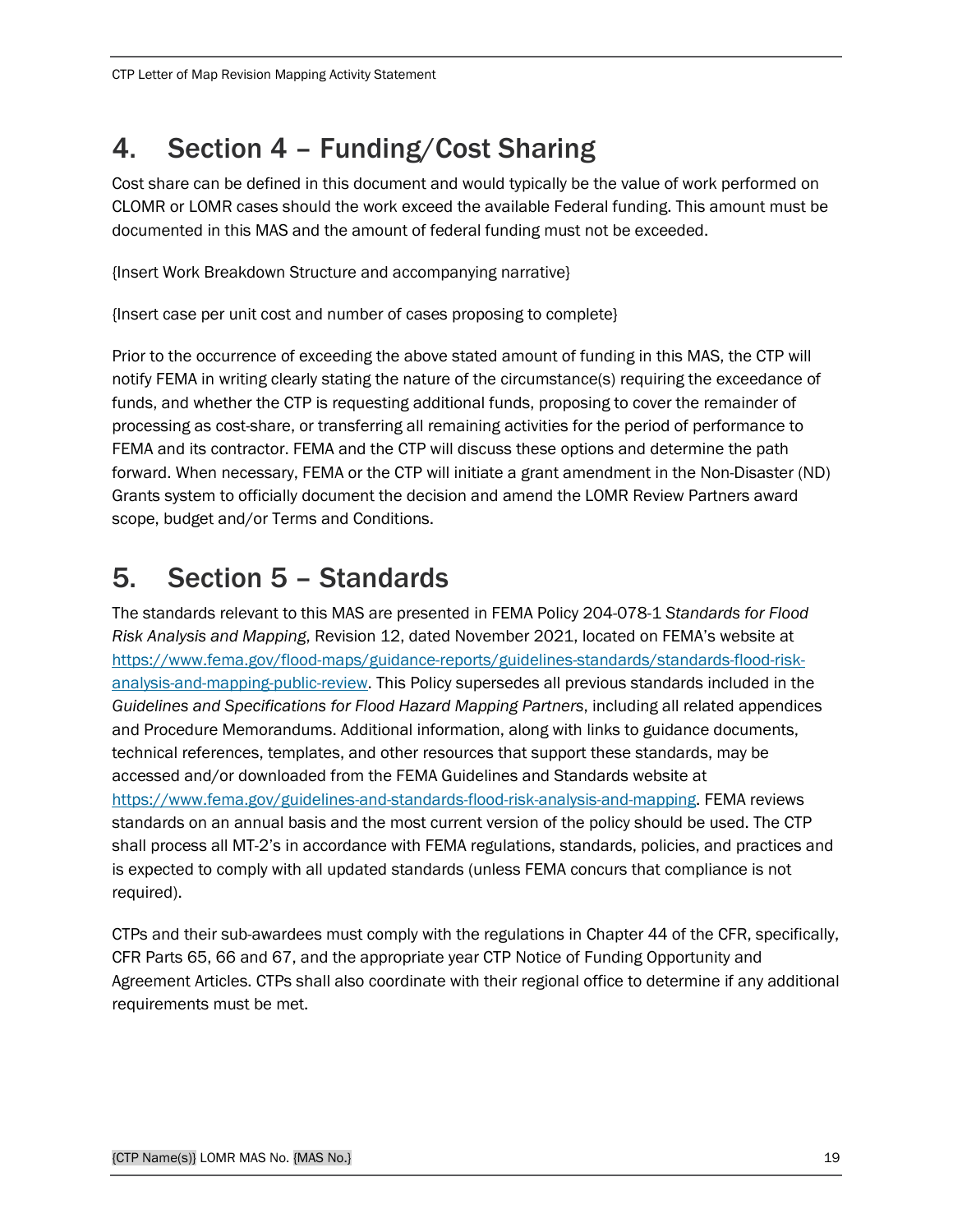# <span id="page-22-0"></span>4. Section 4 – Funding/Cost Sharing

Cost share can be defined in this document and would typically be the value of work performed on CLOMR or LOMR cases should the work exceed the available Federal funding. This amount must be documented in this MAS and the amount of federal funding must not be exceeded.

{Insert Work Breakdown Structure and accompanying narrative}

{Insert case per unit cost and number of cases proposing to complete}

Prior to the occurrence of exceeding the above stated amount of funding in this MAS, the CTP will notify FEMA in writing clearly stating the nature of the circumstance(s) requiring the exceedance of funds, and whether the CTP is requesting additional funds, proposing to cover the remainder of processing as cost-share, or transferring all remaining activities for the period of performance to FEMA and its contractor. FEMA and the CTP will discuss these options and determine the path forward. When necessary, FEMA or the CTP will initiate a grant amendment in the Non-Disaster (ND) Grants system to officially document the decision and amend the LOMR Review Partners award scope, budget and/or Terms and Conditions.

# <span id="page-22-1"></span>5. Section 5 – Standards

The standards relevant to this MAS are presented in FEMA Policy 204-078-1 *Standards for Flood Risk Analysis and Mapping*, Revision 12, dated November 2021, located on FEMA's website at [https://www.fema.gov/flood-maps/guidance-reports/guidelines-standards/standards-flood-risk](https://www.fema.gov/flood-maps/guidance-reports/guidelines-standards/standards-flood-risk-analysis-and-mapping-public-review)[analysis-and-mapping-public-review.](https://www.fema.gov/flood-maps/guidance-reports/guidelines-standards/standards-flood-risk-analysis-and-mapping-public-review) This Policy supersedes all previous standards included in the *Guidelines and Specifications for Flood Hazard Mapping Partners*, including all related appendices and Procedure Memorandums. Additional information, along with links to guidance documents, technical references, templates, and other resources that support these standards, may be accessed and/or downloaded from the FEMA Guidelines and Standards website at [https://www.fema.gov/guidelines-and-standards-flood-risk-analysis-and-mapping.](https://www.fema.gov/guidelines-and-standards-flood-risk-analysis-and-mapping) FEMA reviews standards on an annual basis and the most current version of the policy should be used. The CTP shall process all MT-2's in accordance with FEMA regulations, standards, policies, and practices and is expected to comply with all updated standards (unless FEMA concurs that compliance is not required).

CTPs and their sub-awardees must comply with the regulations in Chapter 44 of the CFR, specifically, CFR Parts 65, 66 and 67, and the appropriate year CTP Notice of Funding Opportunity and Agreement Articles. CTPs shall also coordinate with their regional office to determine if any additional requirements must be met.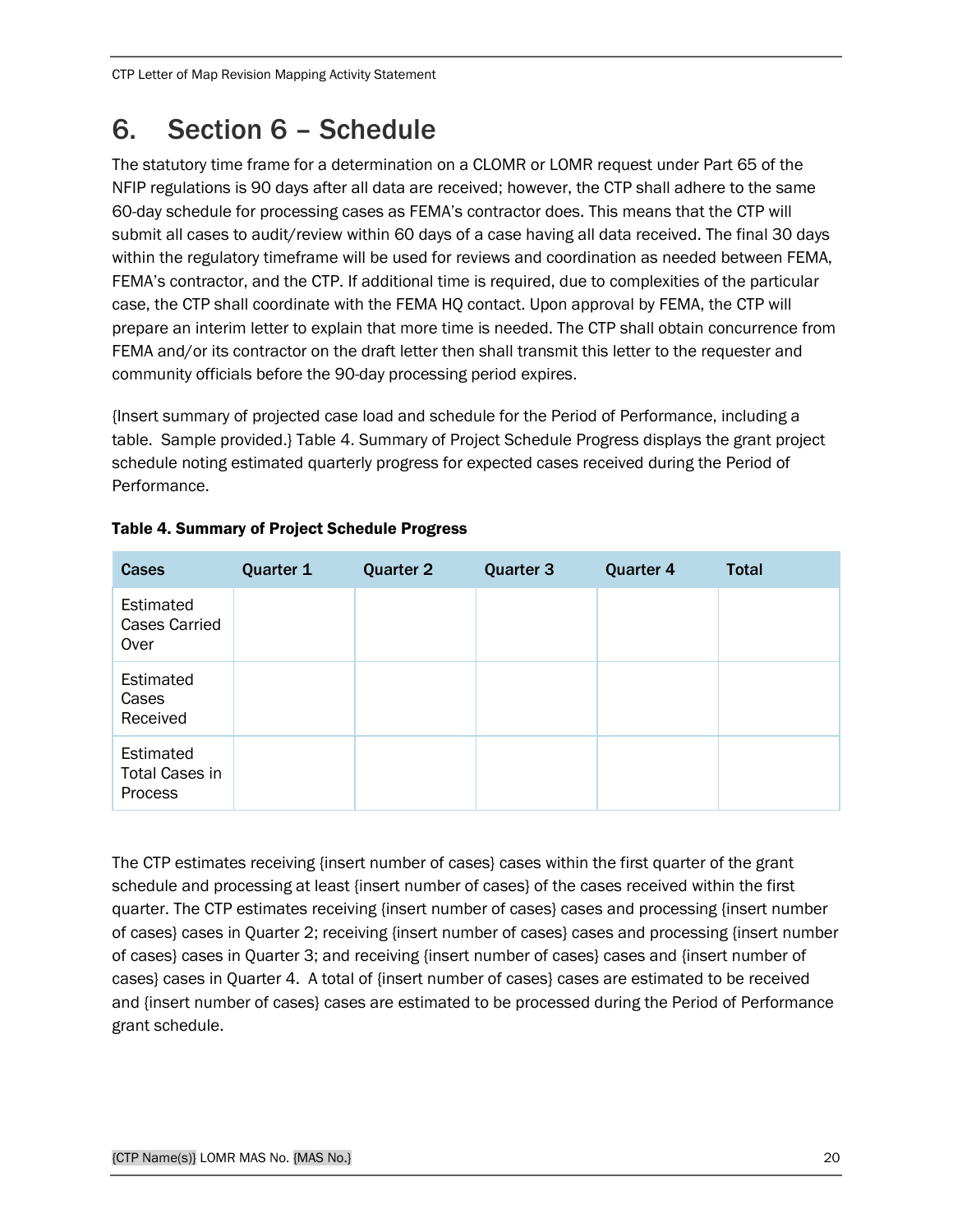# <span id="page-23-0"></span>6. Section 6 – Schedule

The statutory time frame for a determination on a CLOMR or LOMR request under Part 65 of the NFIP regulations is 90 days after all data are received; however, the CTP shall adhere to the same 60-day schedule for processing cases as FEMA's contractor does. This means that the CTP will submit all cases to audit/review within 60 days of a case having all data received. The final 30 days within the regulatory timeframe will be used for reviews and coordination as needed between FEMA, FEMA's contractor, and the CTP. If additional time is required, due to complexities of the particular case, the CTP shall coordinate with the FEMA HQ contact. Upon approval by FEMA, the CTP will prepare an interim letter to explain that more time is needed. The CTP shall obtain concurrence from FEMA and/or its contractor on the draft letter then shall transmit this letter to the requester and community officials before the 90-day processing period expires.

{Insert summary of projected case load and schedule for the Period of Performance, including a table. Sample provided.} [Table 4. Summary of Project Schedule Progress](#page-23-1) displays the grant project schedule noting estimated quarterly progress for expected cases received during the Period of Performance.

| <b>Cases</b>                              | Quarter 1 | <b>Quarter 2</b> | Quarter 3 | <b>Quarter 4</b> | <b>Total</b> |
|-------------------------------------------|-----------|------------------|-----------|------------------|--------------|
| Estimated<br><b>Cases Carried</b><br>Over |           |                  |           |                  |              |
| Estimated<br>Cases<br>Received            |           |                  |           |                  |              |
| Estimated<br>Total Cases in<br>Process    |           |                  |           |                  |              |

#### <span id="page-23-1"></span>Table 4. Summary of Project Schedule Progress

The CTP estimates receiving {insert number of cases} cases within the first quarter of the grant schedule and processing at least {insert number of cases} of the cases received within the first quarter. The CTP estimates receiving {insert number of cases} cases and processing {insert number of cases} cases in Quarter 2; receiving {insert number of cases} cases and processing {insert number of cases} cases in Quarter 3; and receiving {insert number of cases} cases and {insert number of cases} cases in Quarter 4. A total of {insert number of cases} cases are estimated to be received and {insert number of cases} cases are estimated to be processed during the Period of Performance grant schedule.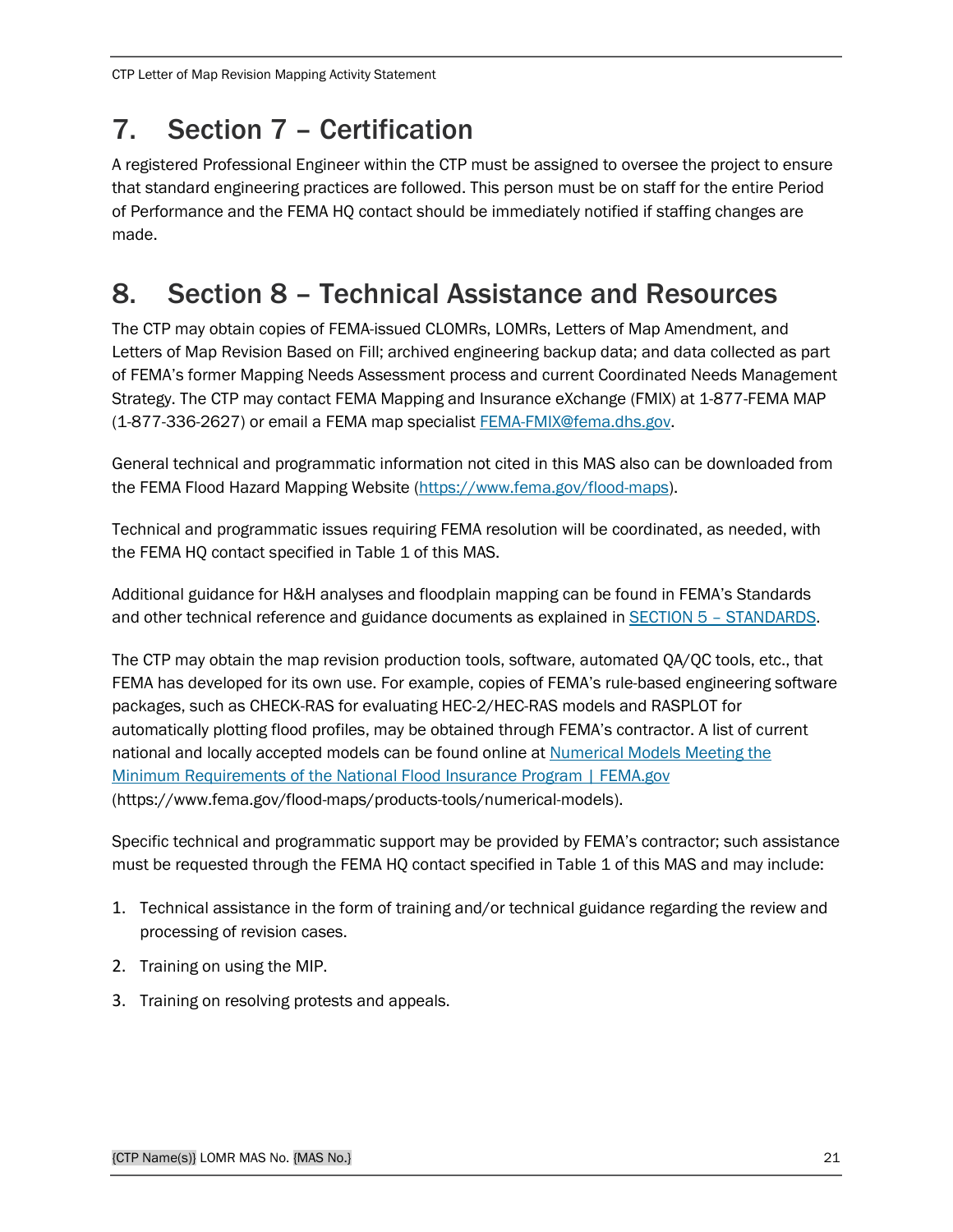# <span id="page-24-0"></span>7. Section 7 – Certification

A registered Professional Engineer within the CTP must be assigned to oversee the project to ensure that standard engineering practices are followed. This person must be on staff for the entire Period of Performance and the FEMA HQ contact should be immediately notified if staffing changes are made.

# <span id="page-24-1"></span>8. Section 8 – Technical Assistance and Resources

The CTP may obtain copies of FEMA-issued CLOMRs, LOMRs, Letters of Map Amendment, and Letters of Map Revision Based on Fill; archived engineering backup data; and data collected as part of FEMA's former Mapping Needs Assessment process and current Coordinated Needs Management Strategy. The CTP may contact FEMA Mapping and Insurance eXchange (FMIX) at 1-877-FEMA MAP (1-877-336-2627) or email a FEMA map specialist [FEMA-FMIX@fema.dhs.gov.](mailto:FEMA-FMIX@fema.dhs.gov)

General technical and programmatic information not cited in this MAS also can be downloaded from the FEMA Flood Hazard Mapping Website [\(https://www.fema.gov/flood-maps\)](https://www.fema.gov/flood-maps).

Technical and programmatic issues requiring FEMA resolution will be coordinated, as needed, with the FEMA HQ contact specified in [Table 1](#page-6-1) of this MAS.

Additional guidance for H&H analyses and floodplain mapping can be found in FEMA's Standards and other technical reference and guidance documents as explained in [SECTION 5 – STANDARDS.](#page-22-1)

The CTP may obtain the map revision production tools, software, automated QA/QC tools, etc., that FEMA has developed for its own use. For example, copies of FEMA's rule-based engineering software packages, such as CHECK-RAS for evaluating HEC-2/HEC-RAS models and RASPLOT for automatically plotting flood profiles, may be obtained through FEMA's contractor. A list of current national and locally accepted models can be found online at [Numerical Models Meeting the](https://www.fema.gov/flood-maps/products-tools/numerical-models)  [Minimum Requirements of the National Flood Insurance Program | FEMA.gov](https://www.fema.gov/flood-maps/products-tools/numerical-models) (https://www.fema.gov/flood-maps/products-tools/numerical-models).

Specific technical and programmatic support may be provided by FEMA's contractor; such assistance must be requested through the FEMA HQ contact specified in [Table 1](#page-6-1) of this MAS and may include:

- 1. Technical assistance in the form of training and/or technical guidance regarding the review and processing of revision cases.
- 2. Training on using the MIP.
- 3. Training on resolving protests and appeals.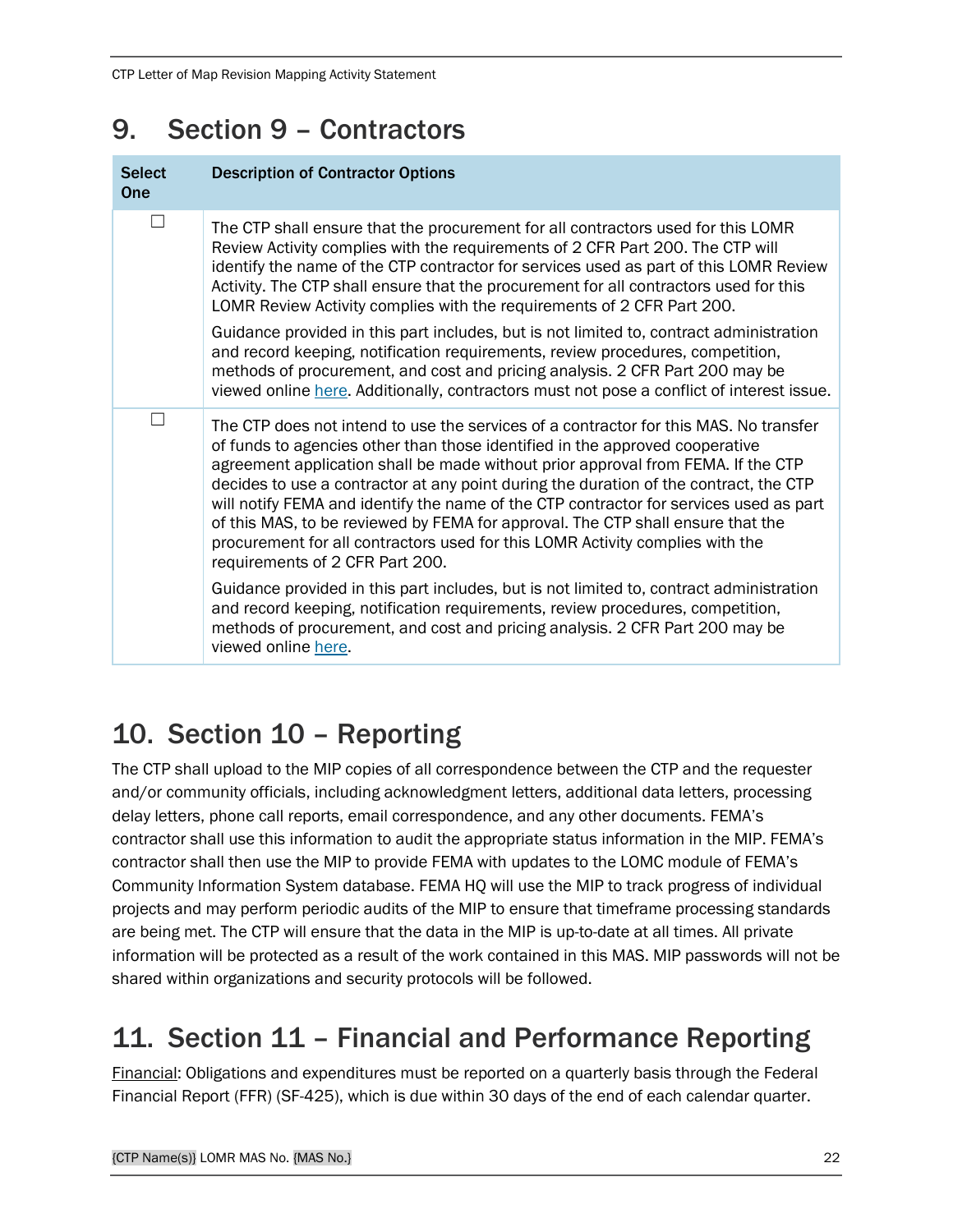# <span id="page-25-0"></span>9. Section 9 – Contractors

| <b>Select</b><br>One | <b>Description of Contractor Options</b>                                                                                                                                                                                                                                                                                                                                                                                                                                                                                                                                                                                                            |
|----------------------|-----------------------------------------------------------------------------------------------------------------------------------------------------------------------------------------------------------------------------------------------------------------------------------------------------------------------------------------------------------------------------------------------------------------------------------------------------------------------------------------------------------------------------------------------------------------------------------------------------------------------------------------------------|
| □                    | The CTP shall ensure that the procurement for all contractors used for this LOMR<br>Review Activity complies with the requirements of 2 CFR Part 200. The CTP will<br>identify the name of the CTP contractor for services used as part of this LOMR Review<br>Activity. The CTP shall ensure that the procurement for all contractors used for this<br>LOMR Review Activity complies with the requirements of 2 CFR Part 200.                                                                                                                                                                                                                      |
|                      | Guidance provided in this part includes, but is not limited to, contract administration<br>and record keeping, notification requirements, review procedures, competition,<br>methods of procurement, and cost and pricing analysis. 2 CFR Part 200 may be<br>viewed online here. Additionally, contractors must not pose a conflict of interest issue.                                                                                                                                                                                                                                                                                              |
| ×                    | The CTP does not intend to use the services of a contractor for this MAS. No transfer<br>of funds to agencies other than those identified in the approved cooperative<br>agreement application shall be made without prior approval from FEMA. If the CTP<br>decides to use a contractor at any point during the duration of the contract, the CTP<br>will notify FEMA and identify the name of the CTP contractor for services used as part<br>of this MAS, to be reviewed by FEMA for approval. The CTP shall ensure that the<br>procurement for all contractors used for this LOMR Activity complies with the<br>requirements of 2 CFR Part 200. |
|                      | Guidance provided in this part includes, but is not limited to, contract administration<br>and record keeping, notification requirements, review procedures, competition,<br>methods of procurement, and cost and pricing analysis. 2 CFR Part 200 may be<br>viewed online here.                                                                                                                                                                                                                                                                                                                                                                    |

# <span id="page-25-1"></span>10. Section 10 – Reporting

The CTP shall upload to the MIP copies of all correspondence between the CTP and the requester and/or community officials, including acknowledgment letters, additional data letters, processing delay letters, phone call reports, email correspondence, and any other documents. FEMA's contractor shall use this information to audit the appropriate status information in the MIP. FEMA's contractor shall then use the MIP to provide FEMA with updates to the LOMC module of FEMA's Community Information System database. FEMA HQ will use the MIP to track progress of individual projects and may perform periodic audits of the MIP to ensure that timeframe processing standards are being met. The CTP will ensure that the data in the MIP is up-to-date at all times. All private information will be protected as a result of the work contained in this MAS. MIP passwords will not be shared within organizations and security protocols will be followed.

# <span id="page-25-2"></span>11. Section 11 – Financial and Performance Reporting

Financial: Obligations and expenditures must be reported on a quarterly basis through the Federal Financial Report (FFR) (SF-425), which is due within 30 days of the end of each calendar quarter.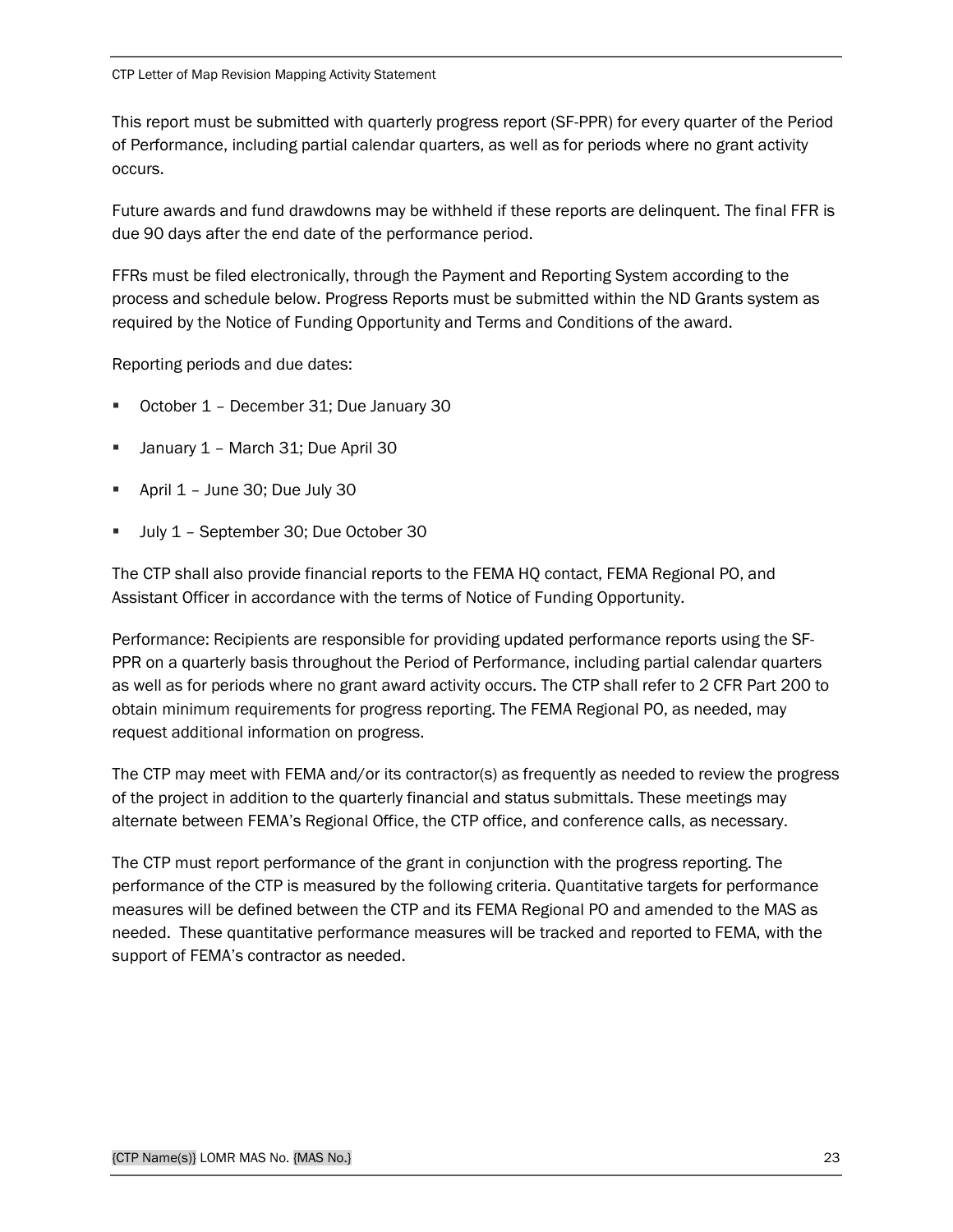This report must be submitted with quarterly progress report (SF-PPR) for every quarter of the Period of Performance, including partial calendar quarters, as well as for periods where no grant activity occurs.

Future awards and fund drawdowns may be withheld if these reports are delinquent. The final FFR is due 90 days after the end date of the performance period.

FFRs must be filed electronically, through the Payment and Reporting System according to the process and schedule below. Progress Reports must be submitted within the ND Grants system as required by the Notice of Funding Opportunity and Terms and Conditions of the award.

Reporting periods and due dates:

- October 1 December 31; Due January 30
- January 1 March 31; Due April 30
- $\blacksquare$  April 1 June 30; Due July 30
- July 1 September 30; Due October 30

The CTP shall also provide financial reports to the FEMA HQ contact, FEMA Regional PO, and Assistant Officer in accordance with the terms of Notice of Funding Opportunity.

Performance: Recipients are responsible for providing updated performance reports using the SF-PPR on a quarterly basis throughout the Period of Performance, including partial calendar quarters as well as for periods where no grant award activity occurs. The CTP shall refer to 2 CFR Part 200 to obtain minimum requirements for progress reporting. The FEMA Regional PO, as needed, may request additional information on progress.

The CTP may meet with FEMA and/or its contractor(s) as frequently as needed to review the progress of the project in addition to the quarterly financial and status submittals. These meetings may alternate between FEMA's Regional Office, the CTP office, and conference calls, as necessary.

The CTP must report performance of the grant in conjunction with the progress reporting. The performance of the CTP is measured by the following criteria. Quantitative targets for performance measures will be defined between the CTP and its FEMA Regional PO and amended to the MAS as needed. These quantitative performance measures will be tracked and reported to FEMA, with the support of FEMA's contractor as needed.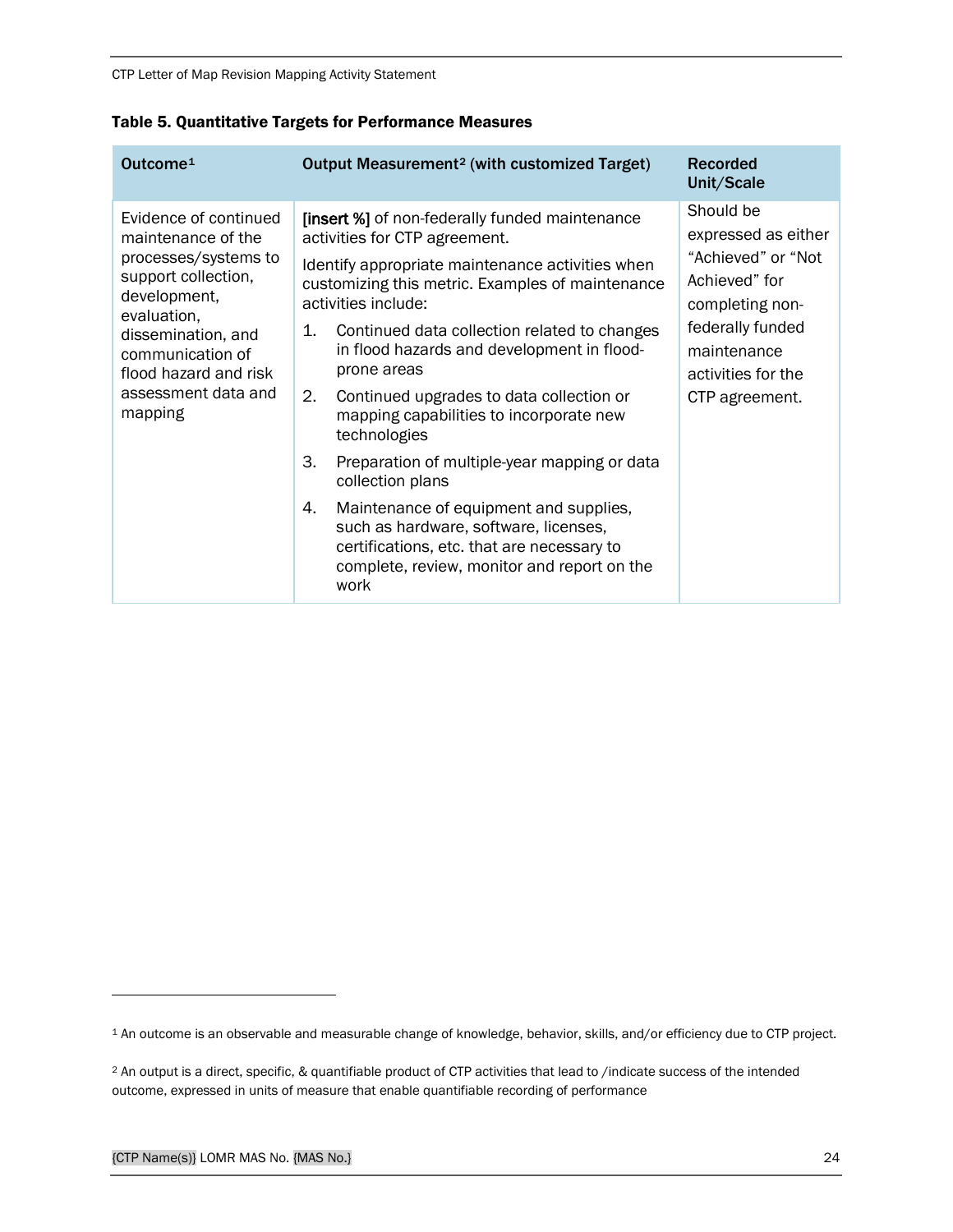| Outcome <sup>1</sup>                                                                                                                                                                                                           | Output Measurement <sup>2</sup> (with customized Target)                                                                                                                                                                                                                                                                                                                                                                                                                                                                                                                                                                                                                                                               | Recorded<br>Unit/Scale                                                                                                                                                |
|--------------------------------------------------------------------------------------------------------------------------------------------------------------------------------------------------------------------------------|------------------------------------------------------------------------------------------------------------------------------------------------------------------------------------------------------------------------------------------------------------------------------------------------------------------------------------------------------------------------------------------------------------------------------------------------------------------------------------------------------------------------------------------------------------------------------------------------------------------------------------------------------------------------------------------------------------------------|-----------------------------------------------------------------------------------------------------------------------------------------------------------------------|
| Evidence of continued<br>maintenance of the<br>processes/systems to<br>support collection,<br>development,<br>evaluation,<br>dissemination, and<br>communication of<br>flood hazard and risk<br>assessment data and<br>mapping | [insert %] of non-federally funded maintenance<br>activities for CTP agreement.<br>Identify appropriate maintenance activities when<br>customizing this metric. Examples of maintenance<br>activities include:<br>1.<br>Continued data collection related to changes<br>in flood hazards and development in flood-<br>prone areas<br>2.<br>Continued upgrades to data collection or<br>mapping capabilities to incorporate new<br>technologies<br>3.<br>Preparation of multiple-year mapping or data<br>collection plans<br>4.<br>Maintenance of equipment and supplies,<br>such as hardware, software, licenses,<br>certifications, etc. that are necessary to<br>complete, review, monitor and report on the<br>work | Should be<br>expressed as either<br>"Achieved" or "Not<br>Achieved" for<br>completing non-<br>federally funded<br>maintenance<br>activities for the<br>CTP agreement. |

<span id="page-27-2"></span>

|  |  |  | <b>Table 5. Quantitative Targets for Performance Measures</b> |  |
|--|--|--|---------------------------------------------------------------|--|
|--|--|--|---------------------------------------------------------------|--|

<span id="page-27-0"></span><sup>1</sup> An outcome is an observable and measurable change of knowledge, behavior, skills, and/or efficiency due to CTP project.

<span id="page-27-1"></span><sup>2</sup> An output is a direct, specific, & quantifiable product of CTP activities that lead to /indicate success of the intended outcome, expressed in units of measure that enable quantifiable recording of performance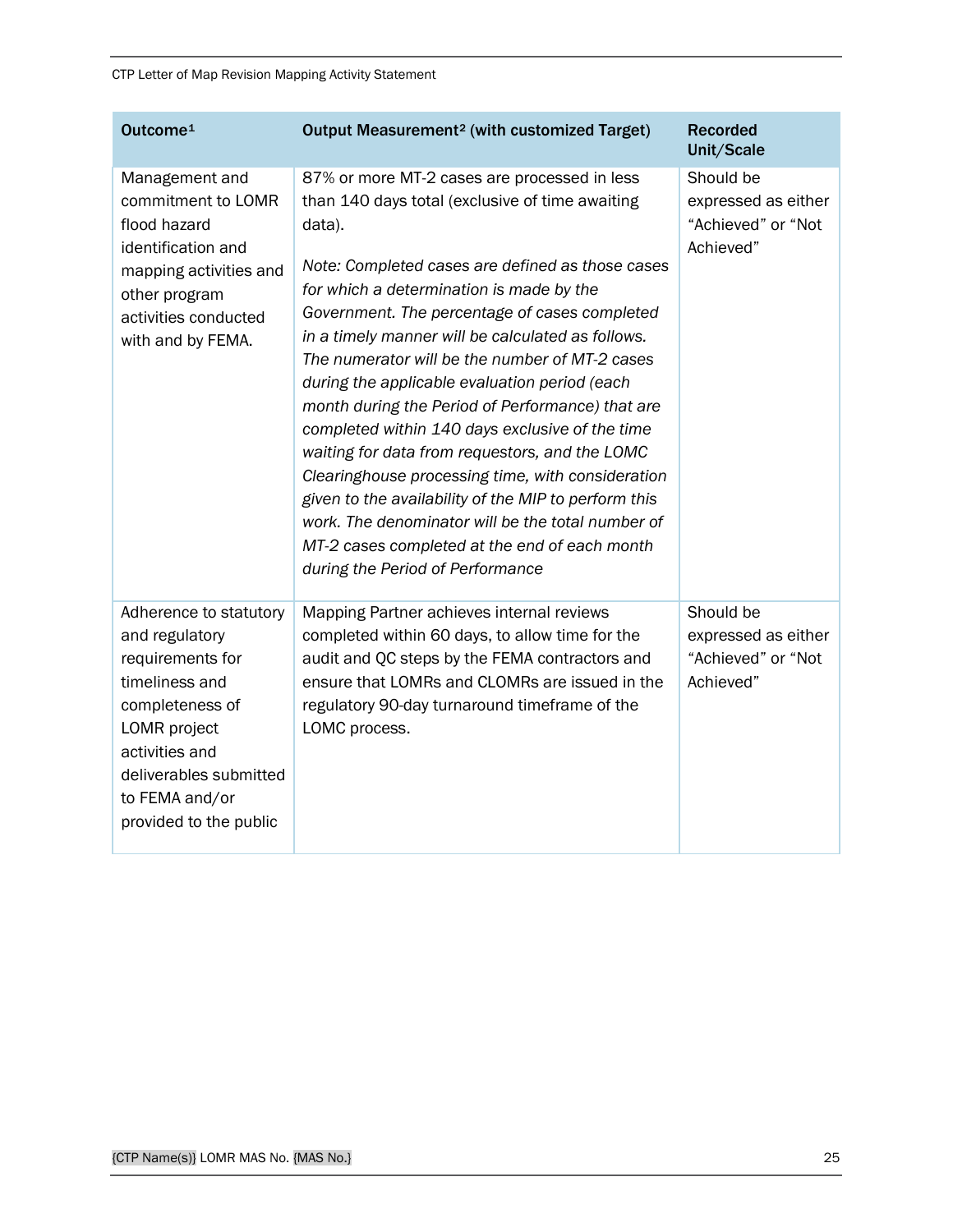| Outcome <sup>1</sup>                                                                                                                                                                                      | Output Measurement <sup>2</sup> (with customized Target)                                                                                                                                                                                                                                                                                                                                                                                                                                                                                                                                                                                                                                                                                                                                                                           | <b>Recorded</b><br>Unit/Scale                                       |
|-----------------------------------------------------------------------------------------------------------------------------------------------------------------------------------------------------------|------------------------------------------------------------------------------------------------------------------------------------------------------------------------------------------------------------------------------------------------------------------------------------------------------------------------------------------------------------------------------------------------------------------------------------------------------------------------------------------------------------------------------------------------------------------------------------------------------------------------------------------------------------------------------------------------------------------------------------------------------------------------------------------------------------------------------------|---------------------------------------------------------------------|
| Management and<br>commitment to LOMR<br>flood hazard<br>identification and<br>mapping activities and<br>other program<br>activities conducted<br>with and by FEMA.                                        | 87% or more MT-2 cases are processed in less<br>than 140 days total (exclusive of time awaiting<br>data).<br>Note: Completed cases are defined as those cases<br>for which a determination is made by the<br>Government. The percentage of cases completed<br>in a timely manner will be calculated as follows.<br>The numerator will be the number of MT-2 cases<br>during the applicable evaluation period (each<br>month during the Period of Performance) that are<br>completed within 140 days exclusive of the time<br>waiting for data from requestors, and the LOMC<br>Clearinghouse processing time, with consideration<br>given to the availability of the MIP to perform this<br>work. The denominator will be the total number of<br>MT-2 cases completed at the end of each month<br>during the Period of Performance | Should be<br>expressed as either<br>"Achieved" or "Not<br>Achieved" |
| Adherence to statutory<br>and regulatory<br>requirements for<br>timeliness and<br>completeness of<br>LOMR project<br>activities and<br>deliverables submitted<br>to FEMA and/or<br>provided to the public | Mapping Partner achieves internal reviews<br>completed within 60 days, to allow time for the<br>audit and QC steps by the FEMA contractors and<br>ensure that LOMRs and CLOMRs are issued in the<br>regulatory 90-day turnaround timeframe of the<br>LOMC process.                                                                                                                                                                                                                                                                                                                                                                                                                                                                                                                                                                 | Should be<br>expressed as either<br>"Achieved" or "Not<br>Achieved" |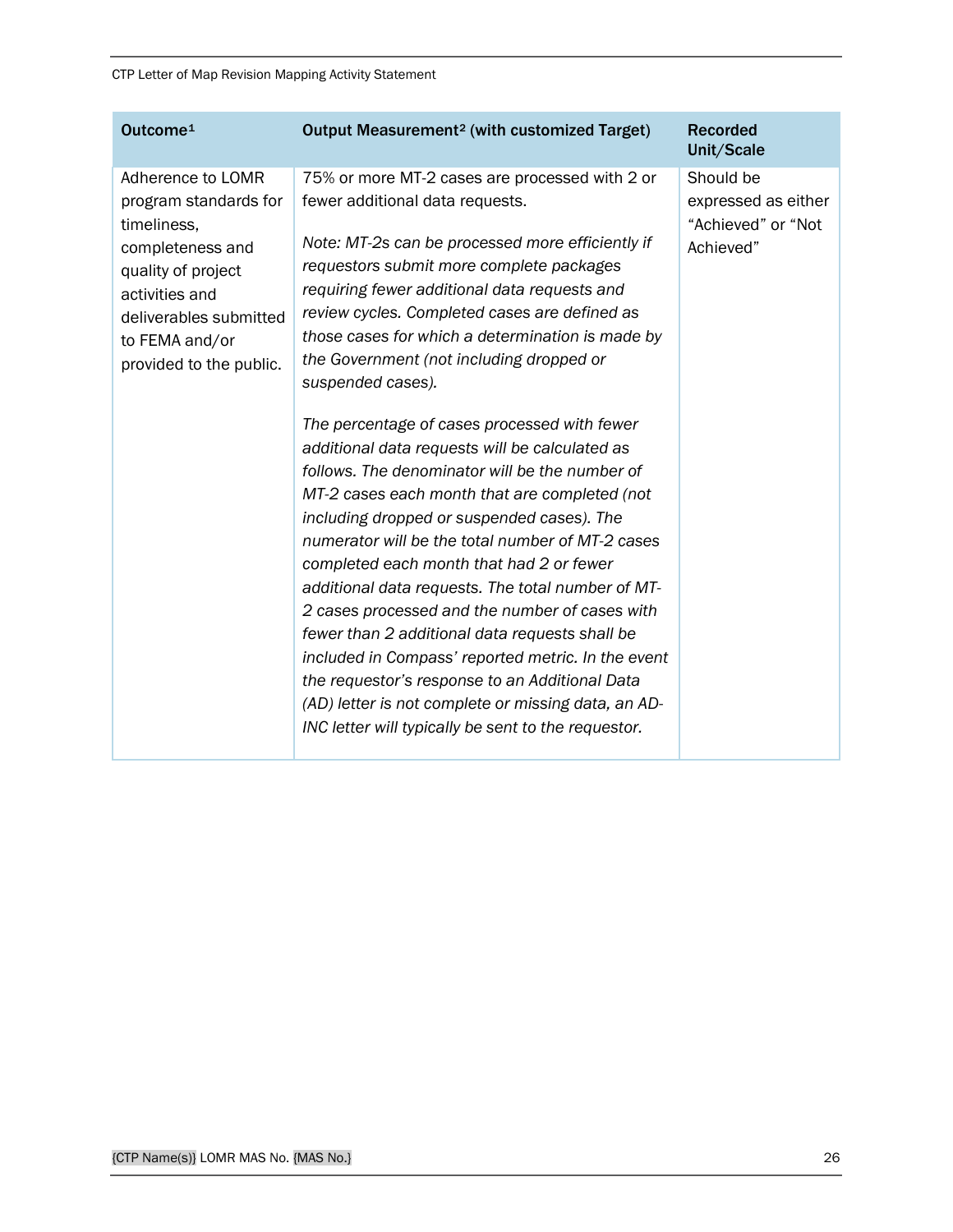| Outcome <sup>1</sup>                                                                                                                                                                         | Output Measurement <sup>2</sup> (with customized Target)                                                                                                                                                                                                                                                                                                                                                                                                                                                                                                                                                                                                                                                                                                                                                                                                                                                                                                                                                                                                                                                                                  | <b>Recorded</b><br>Unit/Scale                                       |
|----------------------------------------------------------------------------------------------------------------------------------------------------------------------------------------------|-------------------------------------------------------------------------------------------------------------------------------------------------------------------------------------------------------------------------------------------------------------------------------------------------------------------------------------------------------------------------------------------------------------------------------------------------------------------------------------------------------------------------------------------------------------------------------------------------------------------------------------------------------------------------------------------------------------------------------------------------------------------------------------------------------------------------------------------------------------------------------------------------------------------------------------------------------------------------------------------------------------------------------------------------------------------------------------------------------------------------------------------|---------------------------------------------------------------------|
| Adherence to LOMR<br>program standards for<br>timeliness,<br>completeness and<br>quality of project<br>activities and<br>deliverables submitted<br>to FEMA and/or<br>provided to the public. | 75% or more MT-2 cases are processed with 2 or<br>fewer additional data requests.<br>Note: MT-2s can be processed more efficiently if<br>requestors submit more complete packages<br>requiring fewer additional data requests and<br>review cycles. Completed cases are defined as<br>those cases for which a determination is made by<br>the Government (not including dropped or<br>suspended cases).<br>The percentage of cases processed with fewer<br>additional data requests will be calculated as<br>follows. The denominator will be the number of<br>MT-2 cases each month that are completed (not<br>including dropped or suspended cases). The<br>numerator will be the total number of MT-2 cases<br>completed each month that had 2 or fewer<br>additional data requests. The total number of MT-<br>2 cases processed and the number of cases with<br>fewer than 2 additional data requests shall be<br>included in Compass' reported metric. In the event<br>the requestor's response to an Additional Data<br>(AD) letter is not complete or missing data, an AD-<br>INC letter will typically be sent to the requestor. | Should be<br>expressed as either<br>"Achieved" or "Not<br>Achieved" |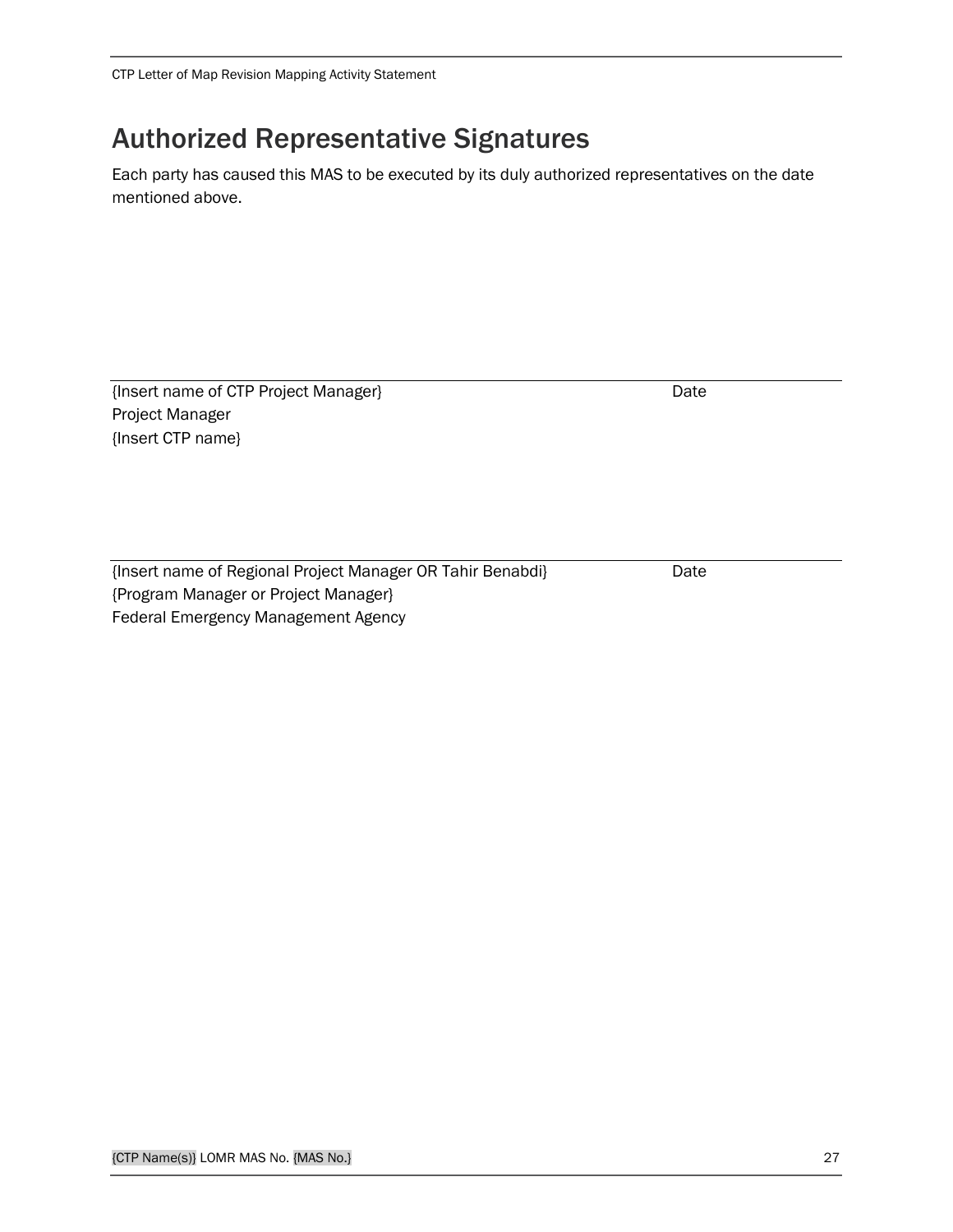# <span id="page-30-0"></span>Authorized Representative Signatures

Each party has caused this MAS to be executed by its duly authorized representatives on the date mentioned above.

| {Insert name of CTP Project Manager} | Date |
|--------------------------------------|------|
| <b>Project Manager</b>               |      |
| {Insert CTP name}                    |      |
|                                      |      |
|                                      |      |

| {Insert name of Regional Project Manager OR Tahir Benabdi} | Date |
|------------------------------------------------------------|------|
| {Program Manager or Project Manager}                       |      |
| Federal Emergency Management Agency                        |      |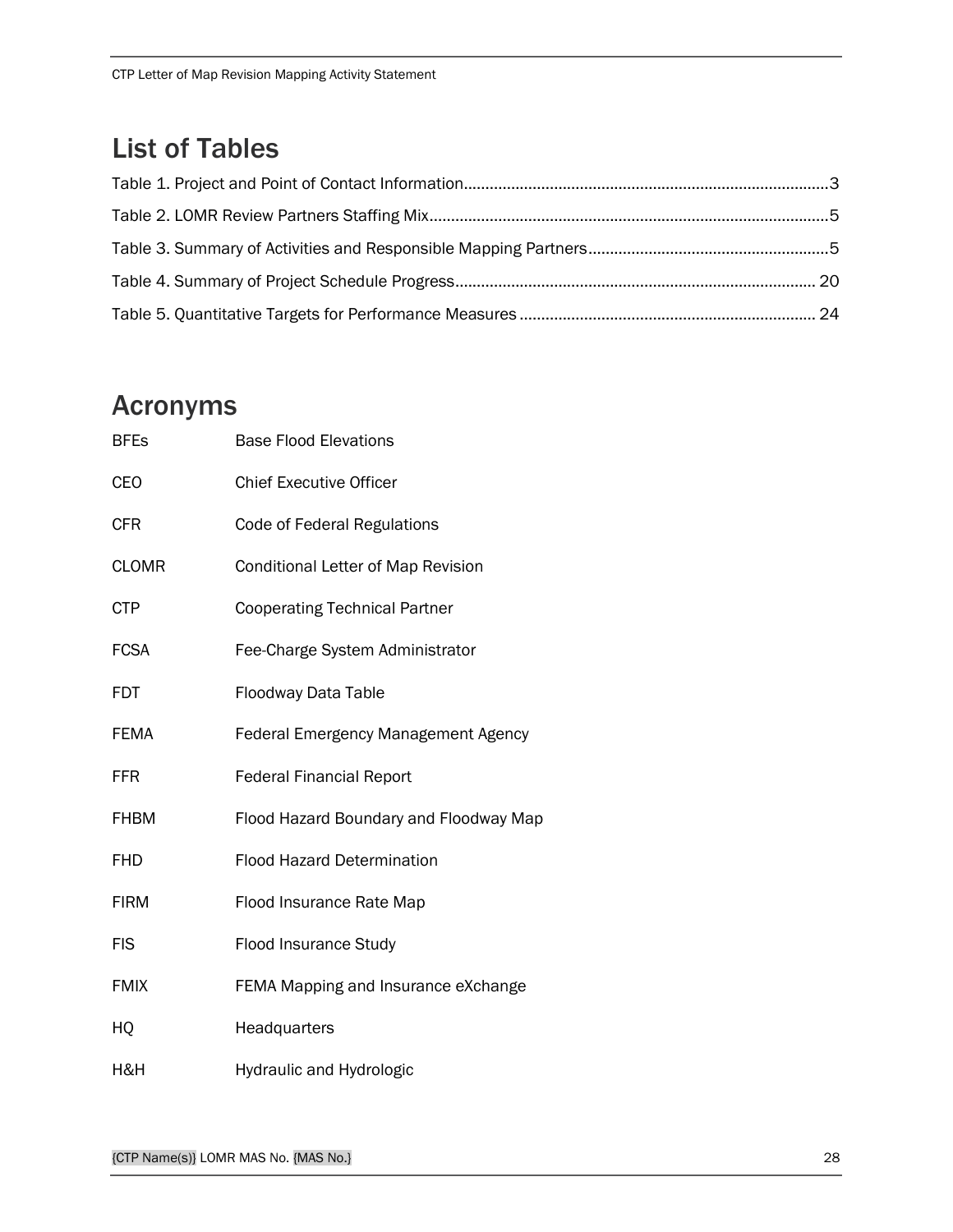# <span id="page-31-0"></span>List of Tables

# <span id="page-31-1"></span>Acronyms

| <b>BFEs</b>  | <b>Base Flood Elevations</b>               |
|--------------|--------------------------------------------|
| <b>CEO</b>   | <b>Chief Executive Officer</b>             |
| <b>CFR</b>   | <b>Code of Federal Regulations</b>         |
| <b>CLOMR</b> | <b>Conditional Letter of Map Revision</b>  |
| <b>CTP</b>   | <b>Cooperating Technical Partner</b>       |
| <b>FCSA</b>  | Fee-Charge System Administrator            |
| <b>FDT</b>   | Floodway Data Table                        |
| <b>FEMA</b>  | <b>Federal Emergency Management Agency</b> |
| FFR          | <b>Federal Financial Report</b>            |
| <b>FHBM</b>  | Flood Hazard Boundary and Floodway Map     |
| <b>FHD</b>   | <b>Flood Hazard Determination</b>          |
| <b>FIRM</b>  | Flood Insurance Rate Map                   |
| <b>FIS</b>   | Flood Insurance Study                      |
| <b>FMIX</b>  | FEMA Mapping and Insurance eXchange        |
| HQ           | Headquarters                               |
| H&H          | Hydraulic and Hydrologic                   |